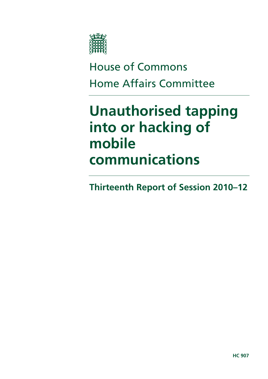

# House of Commons Home Affairs Committee

# **Unauthorised tapping into or hacking of mobile communications**

**Thirteenth Report of Session 2010–12**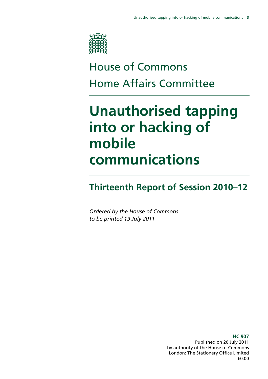

# House of Commons Home Affairs Committee

# **Unauthorised tapping into or hacking of mobile communications**

## **Thirteenth Report of Session 2010–12**

*Ordered by the House of Commons to be printed 19 July 2011* 

> **HC 907**  Published on 20 July 2011 by authority of the House of Commons London: The Stationery Office Limited £0.00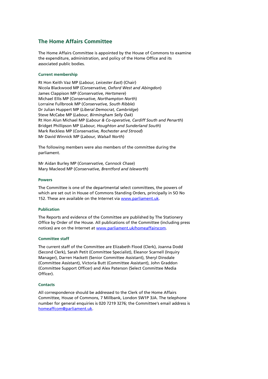### **The Home Affairs Committee**

The Home Affairs Committee is appointed by the House of Commons to examine the expenditure, administration, and policy of the Home Office and its associated public bodies.

### **Current membership**

Rt Hon Keith Vaz MP (*Labour, Leicester East*) (Chair) Nicola Blackwood MP (*Conservative, Oxford West and Abingdon*) James Clappison MP (*Conservative, Hertsmere*) Michael Ellis MP (*Conservative*, *Northampton North*) Lorraine Fullbrook MP (*Conservative, South Ribble*) Dr Julian Huppert MP (*Liberal Democrat, Cambridge*) Steve McCabe MP (*Labour, Birmingham Selly Oak*) Rt Hon Alun Michael MP (*Labour & Co-operative, Cardiff South and Penarth*) Bridget Phillipson MP (*Labour, Houghton and Sunderland South*) Mark Reckless MP (*Conservative, Rochester and Strood*) Mr David Winnick MP (*Labour, Walsall North*)

The following members were also members of the committee during the parliament.

Mr Aidan Burley MP (*Conservative, Cannock Chase*) Mary Macleod MP (*Conservative, Brentford and Isleworth*)

#### **Powers**

The Committee is one of the departmental select committees, the powers of which are set out in House of Commons Standing Orders, principally in SO No 152. These are available on the Internet via www.parliament.uk.

#### **Publication**

The Reports and evidence of the Committee are published by The Stationery Office by Order of the House. All publications of the Committee (including press notices) are on the Internet at www.parliament.uk/homeaffairscom.

#### **Committee staff**

The current staff of the Committee are Elizabeth Flood (Clerk), Joanna Dodd (Second Clerk), Sarah Petit (Committee Specialist), Eleanor Scarnell (Inquiry Manager), Darren Hackett (Senior Committee Assistant), Sheryl Dinsdale (Committee Assistant), Victoria Butt (Committee Assistant), John Graddon (Committee Support Officer) and Alex Paterson (Select Committee Media Officer).

#### **Contacts**

All correspondence should be addressed to the Clerk of the Home Affairs Committee, House of Commons, 7 Millbank, London SW1P 3JA. The telephone number for general enquiries is 020 7219 3276; the Committee's email address is homeaffcom@parliament.uk.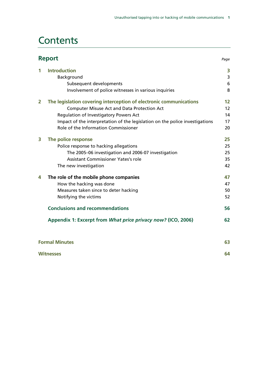## **Contents**

|                | <b>Report</b>                                                                |    |
|----------------|------------------------------------------------------------------------------|----|
| 1              | <b>Introduction</b>                                                          | 3  |
|                | Background                                                                   | 3  |
|                | Subsequent developments                                                      | 6  |
|                | Involvement of police witnesses in various inquiries                         | 8  |
| $\overline{2}$ | The legislation covering interception of electronic communications           | 12 |
|                | <b>Computer Misuse Act and Data Protection Act</b>                           | 12 |
|                | Regulation of Investigatory Powers Act                                       | 14 |
|                | Impact of the interpretation of the legislation on the police investigations | 17 |
|                | Role of the Information Commissioner                                         | 20 |
| 3              | The police response                                                          | 25 |
|                | Police response to hacking allegations                                       | 25 |
|                | The 2005-06 investigation and 2006-07 investigation                          | 25 |
|                | <b>Assistant Commissioner Yates's role</b>                                   | 35 |
|                | The new investigation                                                        | 42 |
| 4              | The role of the mobile phone companies                                       | 47 |
|                | How the hacking was done                                                     | 47 |
|                | Measures taken since to deter hacking                                        | 50 |
|                | Notifying the victims                                                        | 52 |
|                | <b>Conclusions and recommendations</b>                                       | 56 |
|                | Appendix 1: Excerpt from What price privacy now? (ICO, 2006)                 | 62 |
|                | <b>Formal Minutes</b>                                                        | 63 |

| <b>Witnesses</b> | 64 |
|------------------|----|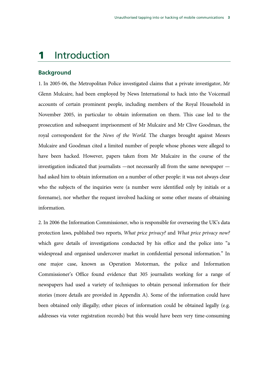### 1 Introduction

### **Background**

1. In 2005-06, the Metropolitan Police investigated claims that a private investigator, Mr Glenn Mulcaire, had been employed by News International to hack into the Voicemail accounts of certain prominent people, including members of the Royal Household in November 2005, in particular to obtain information on them. This case led to the prosecution and subsequent imprisonment of Mr Mulcaire and Mr Clive Goodman, the royal correspondent for the *News of the World*. The charges brought against Messrs Mulcaire and Goodman cited a limited number of people whose phones were alleged to have been hacked. However, papers taken from Mr Mulcaire in the course of the investigation indicated that journalists —not necessarily all from the same newspaper had asked him to obtain information on a number of other people: it was not always clear who the subjects of the inquiries were (a number were identified only by initials or a forename), nor whether the request involved hacking or some other means of obtaining information.

2. In 2006 the Information Commissioner, who is responsible for overseeing the UK's data protection laws, published two reports, *What price privacy?* and *What price privacy now?*  which gave details of investigations conducted by his office and the police into "a widespread and organised undercover market in confidential personal information." In one major case, known as Operation Motorman, the police and Information Commissioner's Office found evidence that 305 journalists working for a range of newspapers had used a variety of techniques to obtain personal information for their stories (more details are provided in Appendix A). Some of the information could have been obtained only illegally; other pieces of information could be obtained legally (e.g. addresses via voter registration records) but this would have been very time-consuming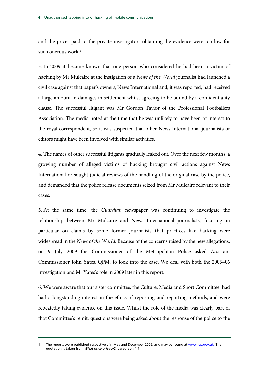and the prices paid to the private investigators obtaining the evidence were too low for such onerous work.<sup>1</sup>

3. In 2009 it became known that one person who considered he had been a victim of hacking by Mr Mulcaire at the instigation of a *News of the World* journalist had launched a civil case against that paper's owners, News International and, it was reported, had received a large amount in damages in settlement whilst agreeing to be bound by a confidentiality clause. The successful litigant was Mr Gordon Taylor of the Professional Footballers Association. The media noted at the time that he was unlikely to have been of interest to the royal correspondent, so it was suspected that other News International journalists or editors might have been involved with similar activities.

4. The names of other successful litigants gradually leaked out. Over the next few months, a growing number of alleged victims of hacking brought civil actions against News International or sought judicial reviews of the handling of the original case by the police, and demanded that the police release documents seized from Mr Mulcaire relevant to their cases.

5. At the same time, the *Guardian* newspaper was continuing to investigate the relationship between Mr Mulcaire and News International journalists, focusing in particular on claims by some former journalists that practices like hacking were widespread in the *News of the World*. Because of the concerns raised by the new allegations, on 9 July 2009 the Commissioner of the Metropolitan Police asked Assistant Commissioner John Yates, QPM, to look into the case. We deal with both the 2005–06 investigation and Mr Yates's role in 2009 later in this report.

6. We were aware that our sister committee, the Culture, Media and Sport Committee, had had a longstanding interest in the ethics of reporting and reporting methods, and were repeatedly taking evidence on this issue. Whilst the role of the media was clearly part of that Committee's remit, questions were being asked about the response of the police to the

The reports were published respectively in May and December 2006, and may be found at www.ico.gov.uk. The quotation is taken from *What price privacy?,* paragraph 1.7.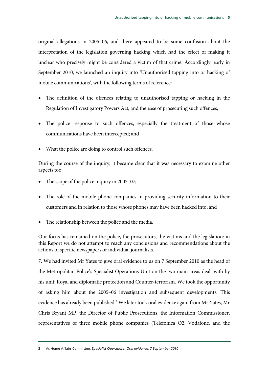original allegations in 2005–06, and there appeared to be some confusion about the interpretation of the legislation governing hacking which had the effect of making it unclear who precisely might be considered a victim of that crime. Accordingly, early in September 2010, we launched an inquiry into 'Unauthorised tapping into or hacking of mobile communications', with the following terms of reference:

- The definition of the offences relating to unauthorised tapping or hacking in the Regulation of Investigatory Powers Act, and the ease of prosecuting such offences;
- The police response to such offences, especially the treatment of those whose communications have been intercepted; and
- What the police are doing to control such offences.

During the course of the inquiry, it became clear that it was necessary to examine other aspects too:

- The scope of the police inquiry in 2005–07;
- The role of the mobile phone companies in providing security information to their customers and in relation to those whose phones may have been hacked into; and
- The relationship between the police and the media.

Our focus has remained on the police, the prosecutors, the victims and the legislation: in this Report we do not attempt to reach any conclusions and recommendations about the actions of specific newspapers or individual journalists.

7. We had invited Mr Yates to give oral evidence to us on 7 September 2010 as the head of the Metropolitan Police's Specialist Operations Unit on the two main areas dealt with by his unit: Royal and diplomatic protection and Counter-terrorism. We took the opportunity of asking him about the 2005–06 investigation and subsequent developments. This evidence has already been published.<sup>2</sup> We later took oral evidence again from Mr Yates, Mr Chris Bryant MP, the Director of Public Prosecutions, the Information Commissioner, representatives of three mobile phone companies (Telefonica O2, Vodafone, and the

<sup>2</sup> As Home Affairs Committee, *Specialist Operations, Oral evidence, 7 September 2010*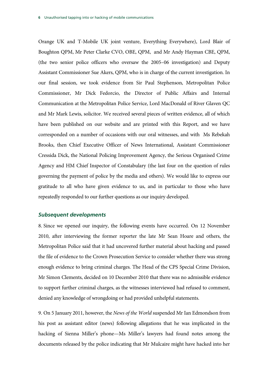Orange UK and T-Mobile UK joint venture, Everything Everywhere), Lord Blair of Boughton QPM, Mr Peter Clarke CVO, OBE, QPM, and Mr Andy Hayman CBE, QPM, (the two senior police officers who oversaw the 2005–06 investigation) and Deputy Assistant Commissioner Sue Akers, QPM, who is in charge of the current investigation. In our final session, we took evidence from Sir Paul Stephenson, Metropolitan Police Commissioner, Mr Dick Fedorcio, the Director of Public Affairs and Internal Communication at the Metropolitan Police Service, Lord MacDonald of River Glaven QC and Mr Mark Lewis, solicitor. We received several pieces of written evidence, all of which have been published on our website and are printed with this Report, and we have corresponded on a number of occasions with our oral witnesses, and with Ms Rebekah Brooks, then Chief Executive Officer of News International, Assistant Commissioner Cressida Dick, the National Policing Improvement Agency, the Serious Organised Crime Agency and HM Chief Inspector of Constabulary (the last four on the question of rules governing the payment of police by the media and others). We would like to express our gratitude to all who have given evidence to us, and in particular to those who have repeatedly responded to our further questions as our inquiry developed.

### *Subsequent developments*

8. Since we opened our inquiry, the following events have occurred. On 12 November 2010, after interviewing the former reporter the late Mr Sean Hoare and others, the Metropolitan Police said that it had uncovered further material about hacking and passed the file of evidence to the Crown Prosecution Service to consider whether there was strong enough evidence to bring criminal charges. The Head of the CPS Special Crime Division, Mr Simon Clements, decided on 10 December 2010 that there was no admissible evidence to support further criminal charges, as the witnesses interviewed had refused to comment, denied any knowledge of wrongdoing or had provided unhelpful statements.

9. On 5 January 2011, however, the *News of the World* suspended Mr Ian Edmondson from his post as assistant editor (news) following allegations that he was implicated in the hacking of Sienna Miller's phone—Ms Miller's lawyers had found notes among the documents released by the police indicating that Mr Mulcaire might have hacked into her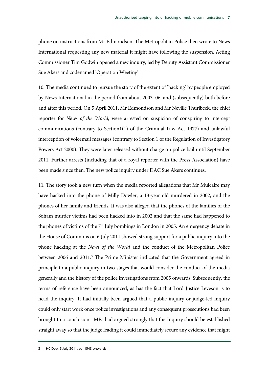phone on instructions from Mr Edmondson. The Metropolitan Police then wrote to News International requesting any new material it might have following the suspension. Acting Commissioner Tim Godwin opened a new inquiry, led by Deputy Assistant Commissioner Sue Akers and codenamed 'Operation Weeting'.

10. The media continued to pursue the story of the extent of 'hacking' by people employed by News International in the period from about 2003–06, and (subsequently) both before and after this period. On 5 April 2011, Mr Edmondson and Mr Neville Thurlbeck, the chief reporter for *News of the World*, were arrested on suspicion of conspiring to intercept communications (contrary to Section1(1) of the Criminal Law Act 1977) and unlawful interception of voicemail messages (contrary to Section 1 of the Regulation of Investigatory Powers Act 2000). They were later released without charge on police bail until September 2011. Further arrests (including that of a royal reporter with the Press Association) have been made since then. The new police inquiry under DAC Sue Akers continues.

11. The story took a new turn when the media reported allegations that Mr Mulcaire may have hacked into the phone of Milly Dowler, a 13-year old murdered in 2002, and the phones of her family and friends. It was also alleged that the phones of the families of the Soham murder victims had been hacked into in 2002 and that the same had happened to the phones of victims of the  $7<sup>th</sup>$  July bombings in London in 2005. An emergency debate in the House of Commons on 6 July 2011 showed strong support for a public inquiry into the phone hacking at the *News of the World* and the conduct of the Metropolitan Police between 2006 and 2011.<sup>3</sup> The Prime Minister indicated that the Government agreed in principle to a public inquiry in two stages that would consider the conduct of the media generally and the history of the police investigations from 2005 onwards. Subsequently, the terms of reference have been announced, as has the fact that Lord Justice Leveson is to head the inquiry. It had initially been argued that a public inquiry or judge-led inquiry could only start work once police investigations and any consequent prosecutions had been brought to a conclusion. MPs had argued strongly that the Inquiry should be established straight away so that the judge leading it could immediately secure any evidence that might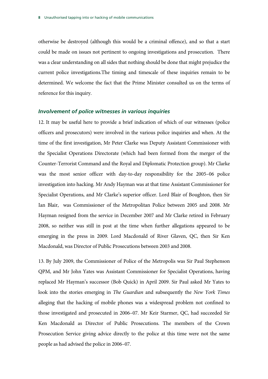otherwise be destroyed (although this would be a criminal offence), and so that a start could be made on issues not pertinent to ongoing investigations and prosecution. There was a clear understanding on all sides that nothing should be done that might prejudice the current police investigations.The timing and timescale of these inquiries remain to be determined. We welcome the fact that the Prime Minister consulted us on the terms of reference for this inquiry.

### *Involvement of police witnesses in various inquiries*

12. It may be useful here to provide a brief indication of which of our witnesses (police officers and prosecutors) were involved in the various police inquiries and when. At the time of the first investigation, Mr Peter Clarke was Deputy Assistant Commissioner with the Specialist Operations Directorate (which had been formed from the merger of the Counter-Terrorist Command and the Royal and Diplomatic Protection group). Mr Clarke was the most senior officer with day-to-day responsibility for the 2005–06 police investigation into hacking. Mr Andy Hayman was at that time Assistant Commissioner for Specialist Operations, and Mr Clarke's superior officer. Lord Blair of Boughton, then Sir Ian Blair, was Commissioner of the Metropolitan Police between 2005 and 2008. Mr Hayman resigned from the service in December 2007 and Mr Clarke retired in February 2008, so neither was still in post at the time when further allegations appeared to be emerging in the press in 2009. Lord Macdonald of River Glaven, QC, then Sir Ken Macdonald, was Director of Public Prosecutions between 2003 and 2008.

13. By July 2009, the Commissioner of Police of the Metropolis was Sir Paul Stephenson QPM, and Mr John Yates was Assistant Commissioner for Specialist Operations, having replaced Mr Hayman's successor (Bob Quick) in April 2009. Sir Paul asked Mr Yates to look into the stories emerging in *The Guardian* and subsequently the *New York Times* alleging that the hacking of mobile phones was a widespread problem not confined to those investigated and prosecuted in 2006–07. Mr Keir Starmer, QC, had succeeded Sir Ken Macdonald as Director of Public Prosecutions. The members of the Crown Prosecution Service giving advice directly to the police at this time were not the same people as had advised the police in 2006–07.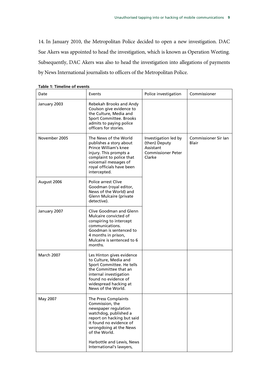14. In January 2010, the Metropolitan Police decided to open a new investigation. DAC Sue Akers was appointed to head the investigation, which is known as Operation Weeting. Subsequently, DAC Akers was also to head the investigation into allegations of payments by News International journalists to officers of the Metropolitan Police.

| Date          | Events                                                                                                                                                                                                                                                | Police investigation                                                                      | Commissioner                  |
|---------------|-------------------------------------------------------------------------------------------------------------------------------------------------------------------------------------------------------------------------------------------------------|-------------------------------------------------------------------------------------------|-------------------------------|
| January 2003  | Rebekah Brooks and Andy<br>Coulson give evidence to<br>the Culture, Media and<br>Sport Committee. Brooks<br>admits to paying police<br>officers for stories.                                                                                          |                                                                                           |                               |
| November 2005 | The News of the World<br>publishes a story about<br>Prince William's knee<br>injury. This prompts a<br>complaint to police that<br>voicemail messages of<br>royal officials have been<br>intercepted.                                                 | Investigation led by<br>(then) Deputy<br>Assistant<br><b>Commissioner Peter</b><br>Clarke | Commissioner Sir Jan<br>Blair |
| August 2006   | Police arrest Clive<br>Goodman (royal editor,<br>News of the World) and<br>Glenn Mulcaire (private<br>detective).                                                                                                                                     |                                                                                           |                               |
| January 2007  | Clive Goodman and Glenn<br>Mulcaire convicted of<br>conspiring to intercept<br>communications.<br>Goodman is sentenced to<br>4 months in prison,<br>Mulcaire is sentenced to 6<br>months.                                                             |                                                                                           |                               |
| March 2007    | Les Hinton gives evidence<br>to Culture, Media and<br>Sport Committee. He tells<br>the Committee that an<br>internal investigation<br>found no evidence of<br>widespread hacking at<br>News of the World.                                             |                                                                                           |                               |
| May 2007      | The Press Complaints<br>Commission, the<br>newspaper regulation<br>watchdog, published a<br>report on hacking but said<br>it found no evidence of<br>wrongdoing at the News<br>of the World.<br>Harbottle and Lewis, News<br>International's lawyers, |                                                                                           |                               |

|  |  |  | <b>Table 1: Timeline of events</b> |
|--|--|--|------------------------------------|
|--|--|--|------------------------------------|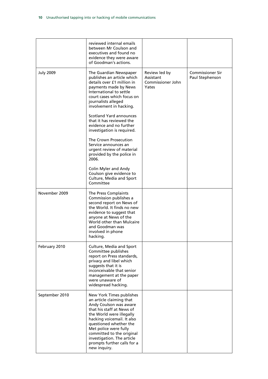|                  | reviewed internal emails<br>between Mr Coulson and<br>executives and found no<br>evidence they were aware<br>of Goodman's actions.                                                                                                                                                                                                                                                                                                                                                                                                                      |                                                          |                                            |
|------------------|---------------------------------------------------------------------------------------------------------------------------------------------------------------------------------------------------------------------------------------------------------------------------------------------------------------------------------------------------------------------------------------------------------------------------------------------------------------------------------------------------------------------------------------------------------|----------------------------------------------------------|--------------------------------------------|
| <b>July 2009</b> | The Guardian Newspaper<br>publishes an article which<br>details over £1 million in<br>payments made by News<br>International to settle<br>court cases which focus on<br>journalists alleged<br>involvement in hacking.<br>Scotland Yard announces<br>that it has reviewed the<br>evidence and no further<br>investigation is required.<br>The Crown Prosecution<br>Service announces an<br>urgent review of material<br>provided by the police in<br>2006.<br>Colin Myler and Andy<br>Coulson give evidence to<br>Culture, Media and Sport<br>Committee | Review led by<br>Assistant<br>Commissioner John<br>Yates | <b>Commissioner Sir</b><br>Paul Stephenson |
| November 2009    | The Press Complaints<br>Commission publishes a<br>second report on News of<br>the World. It finds no new<br>evidence to suggest that<br>anyone at News of the<br>World other than Mulcaire<br>and Goodman was<br>involved in phone<br>hacking.                                                                                                                                                                                                                                                                                                          |                                                          |                                            |
| February 2010    | Culture, Media and Sport<br>Committee publishes<br>report on Press standards,<br>privacy and libel which<br>suggests that it is<br>inconceivable that senior<br>management at the paper<br>were unaware of<br>widespread hacking.                                                                                                                                                                                                                                                                                                                       |                                                          |                                            |
| September 2010   | New York Times publishes<br>an article claiming that<br>Andy Coulson was aware<br>that his staff at News of<br>the World were illegally<br>hacking voicemail. It also<br>questioned whether the<br>Met police were fully<br>committed to the original<br>investigation. The article<br>prompts further calls for a<br>new inquiry.                                                                                                                                                                                                                      |                                                          |                                            |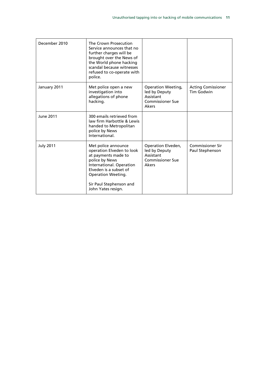| December 2010    | The Crown Prosecution<br>Service announces that no<br>further charges will be<br>brought over the News of<br>the World phone hacking<br>scandal because witnesses<br>refused to co-operate with<br>police.                    |                                                                                             |                                            |
|------------------|-------------------------------------------------------------------------------------------------------------------------------------------------------------------------------------------------------------------------------|---------------------------------------------------------------------------------------------|--------------------------------------------|
| January 2011     | Met police open a new<br>investigation into<br>allegations of phone<br>hacking.                                                                                                                                               | <b>Operation Weeting,</b><br>led by Deputy<br>Assistant<br><b>Commissioner Sue</b><br>Akers | <b>Acting Comissioner</b><br>Tim Godwin    |
| June 2011        | 300 emails retrieved from<br>law firm Harbottle & Lewis<br>handed to Metropolitan<br>police by News<br>International.                                                                                                         |                                                                                             |                                            |
| <b>July 2011</b> | Met police announce<br>operation Elveden to look<br>at payments made to<br>police by News<br>International. Operation<br>Elveden is a subset of<br><b>Operation Weeting.</b><br>Sir Paul Stephenson and<br>John Yates resign. | Operation Elveden,<br>led by Deputy<br>Assistant<br><b>Commissioner Sue</b><br>Akers        | <b>Commissioner Sir</b><br>Paul Stephenson |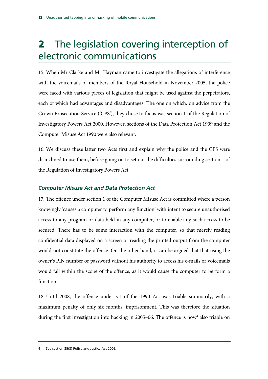# 2 The legislation covering interception of electronic communications

15. When Mr Clarke and Mr Hayman came to investigate the allegations of interference with the voicemails of members of the Royal Household in November 2005, the police were faced with various pieces of legislation that might be used against the perpetrators, each of which had advantages and disadvantages. The one on which, on advice from the Crown Prosecution Service ('CPS'), they chose to focus was section 1 of the Regulation of Investigatory Powers Act 2000. However, sections of the Data Protection Act 1999 and the Computer Misuse Act 1990 were also relevant.

16. We discuss these latter two Acts first and explain why the police and the CPS were disinclined to use them, before going on to set out the difficulties surrounding section 1 of the Regulation of Investigatory Powers Act.

### *Computer Misuse Act and Data Protection Act*

17. The offence under section 1 of the Computer Misuse Act is committed where a person knowingly 'causes a computer to perform any function' with intent to secure unauthorised access to any program or data held in any computer, or to enable any such access to be secured. There has to be some interaction with the computer, so that merely reading confidential data displayed on a screen or reading the printed output from the computer would not constitute the offence. On the other hand, it can be argued that that using the owner's PIN number or password without his authority to access his e-mails or voicemails would fall within the scope of the offence, as it would cause the computer to perform a function.

18. Until 2008, the offence under s.1 of the 1990 Act was triable summarily, with a maximum penalty of only six months' imprisonment. This was therefore the situation during the first investigation into hacking in 2005-06. The offence is now<sup>4</sup> also triable on

<sup>4</sup> See section 35(3) Police and Justice Act 2006.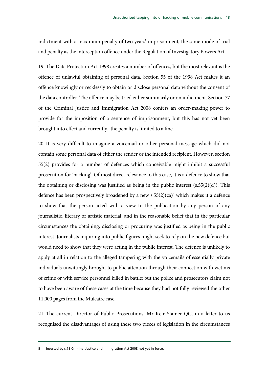indictment with a maximum penalty of two years' imprisonment, the same mode of trial and penalty as the interception offence under the Regulation of Investigatory Powers Act.

19. The Data Protection Act 1998 creates a number of offences, but the most relevant is the offence of unlawful obtaining of personal data. Section 55 of the 1998 Act makes it an offence knowingly or recklessly to obtain or disclose personal data without the consent of the data controller. The offence may be tried either summarily or on indictment. Section 77 of the Criminal Justice and Immigration Act 2008 confers an order-making power to provide for the imposition of a sentence of imprisonment, but this has not yet been brought into effect and currently, the penalty is limited to a fine.

20. It is very difficult to imagine a voicemail or other personal message which did not contain some personal data of either the sender or the intended recipient. However, section 55(2) provides for a number of defences which conceivable might inhibit a successful prosecution for 'hacking'. Of most direct relevance to this case, it is a defence to show that the obtaining or disclosing was justified as being in the public interest  $(s.55(2)(d))$ . This defence has been prospectively broadened by a new  $s.55(2)(ca)^5$  which makes it a defence to show that the person acted with a view to the publication by any person of any journalistic, literary or artistic material, and in the reasonable belief that in the particular circumstances the obtaining, disclosing or procuring was justified as being in the public interest. Journalists inquiring into public figures might seek to rely on the new defence but would need to show that they were acting in the public interest. The defence is unlikely to apply at all in relation to the alleged tampering with the voicemails of essentially private individuals unwittingly brought to public attention through their connection with victims of crime or with service personnel killed in battle; but the police and prosecutors claim not to have been aware of these cases at the time because they had not fully reviewed the other 11,000 pages from the Mulcaire case.

21. The current Director of Public Prosecutions, Mr Keir Stamer QC, in a letter to us recognised the disadvantages of using these two pieces of legislation in the circumstances

<sup>5</sup> Inserted by s.78 Criminal Justice and Immigration Act 2008 not yet in force.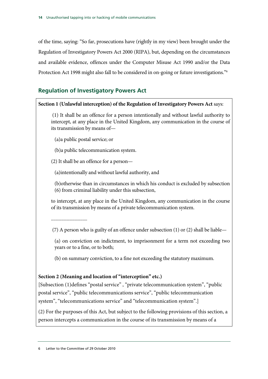of the time, saying: "So far, prosecutions have (rightly in my view) been brought under the Regulation of Investigatory Powers Act 2000 (RIPA), but, depending on the circumstances and available evidence, offences under the Computer Misuse Act 1990 and/or the Data Protection Act 1998 might also fall to be considered in on-going or future investigations."<sup>6</sup>

### **Regulation of Investigatory Powers Act**

### **Section 1 (Unlawful interception) of the Regulation of Investigatory Powers Act** says:

 (1) It shall be an offence for a person intentionally and without lawful authority to intercept, at any place in the United Kingdom, any communication in the course of its transmission by means of—

(a)a public postal service; or

(b)a public telecommunication system.

(2) It shall be an offence for a person—

(a)intentionally and without lawful authority, and

(b)otherwise than in circumstances in which his conduct is excluded by subsection (6) from criminal liability under this subsection,

to intercept, at any place in the United Kingdom, any communication in the course of its transmission by means of a private telecommunication system.

...............................

(7) A person who is guilty of an offence under subsection (1) or (2) shall be liable—

(a) on conviction on indictment, to imprisonment for a term not exceeding two years or to a fine, or to both;

(b) on summary conviction, to a fine not exceeding the statutory maximum.

### **Section 2 (Meaning and location of "interception" etc.)**

[Subsection (1)defines "postal service" , "private telecommunication system", "public postal service", "public telecommunications service", "public telecommunication system", "telecommunications service" and "telecommunication system".]

(2) For the purposes of this Act, but subject to the following provisions of this section, a person intercepts a communication in the course of its transmission by means of a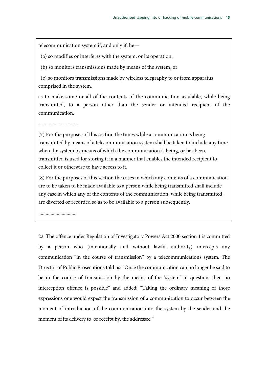telecommunication system if, and only if, he—

(a) so modifies or interferes with the system, or its operation,

(b) so monitors transmissions made by means of the system, or

 (c) so monitors transmissions made by wireless telegraphy to or from apparatus comprised in the system,

as to make some or all of the contents of the communication available, while being transmitted, to a person other than the sender or intended recipient of the communication.

.................................

(7) For the purposes of this section the times while a communication is being transmitted by means of a telecommunication system shall be taken to include any time when the system by means of which the communication is being, or has been, transmitted is used for storing it in a manner that enables the intended recipient to collect it or otherwise to have access to it.

(8) For the purposes of this section the cases in which any contents of a communication are to be taken to be made available to a person while being transmitted shall include any case in which any of the contents of the communication, while being transmitted, are diverted or recorded so as to be available to a person subsequently.

...............................

22. The offence under Regulation of Investigatory Powers Act 2000 section 1 is committed by a person who (intentionally and without lawful authority) intercepts any communication "in the course of transmission" by a telecommunications system. The Director of Public Prosecutions told us: "Once the communication can no longer be said to be in the course of transmission by the means of the 'system' in question, then no interception offence is possible" and added: "Taking the ordinary meaning of those expressions one would expect the transmission of a communication to occur between the moment of introduction of the communication into the system by the sender and the moment of its delivery to, or receipt by, the addressee."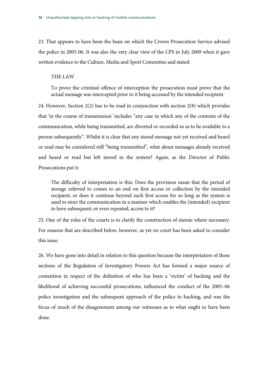23. That appears to have been the basis on which the Crown Prosecution Service advised the police in 2005-06. It was also the very clear view of the CPS in July 2009 when it gave written evidence to the Culture, Media and Sport Committee and stated:

### THE LAW

To prove the criminal offence of interception the prosecution must prove that the actual message was intercepted prior to it being accessed by the intended recipient.

24. However, Section 2(2) has to be read in conjunction with section 2(8) which provides that 'in the course of transmission' includes "any case in which any of the contents of the communication, while being transmitted, are diverted or recorded so as to be available to a person subsequently". Whilst it is clear that any stored message not yet received and heard or read may be considered still "being transmitted", what about messages already received and heard or read but left stored in the system? Again, as the Director of Public Prosecutions put it:

The difficulty of interpretation is this: Does the provision mean that the period of storage referred to comes to an end on first access or collection by the intended recipient, or does it continue beyond such first access for so long as the system is used to store the communication in a manner which enables the (intended) recipient to have subsequent, or even repeated, access to it?

25. One of the roles of the courts is to clarify the construction of statute where necessary. For reasons that are described below, however, as yet no court has been asked to consider this issue.

26. We have gone into detail in relation to this question because the interpretation of these sections of the Regulation of Investigatory Powers Act has formed a major source of contention in respect of the definition of who has been a 'victim' of hacking and the likelihood of achieving successful prosecutions, influenced the conduct of the 2005–06 police investigation and the subsequent approach of the police to hacking, and was the focus of much of the disagreement among our witnesses as to what ought to have been done.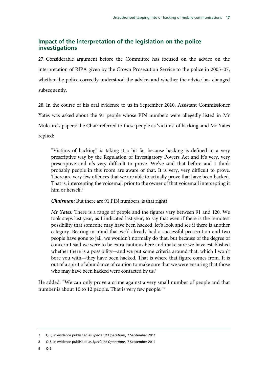### **Impact of the interpretation of the legislation on the police investigations**

27. Considerable argument before the Committee has focused on the advice on the interpretation of RIPA given by the Crown Prosecution Service to the police in 2005–07, whether the police correctly understood the advice, and whether the advice has changed subsequently.

28. In the course of his oral evidence to us in September 2010, Assistant Commissioner Yates was asked about the 91 people whose PIN numbers were allegedly listed in Mr Mulcaire's papers: the Chair referred to these people as 'victims' of hacking, and Mr Yates replied:

"Victims of hacking" is taking it a bit far because hacking is defined in a very prescriptive way by the Regulation of Investigatory Powers Act and it's very, very prescriptive and it's very difficult to prove. We've said that before and I think probably people in this room are aware of that. It is very, very difficult to prove. There are very few offences that we are able to actually prove that have been hacked. That is, intercepting the voicemail prior to the owner of that voicemail intercepting it him or herself.<sup>7</sup>

*Chairman:* But there are 91 PIN numbers, is that right?

*Mr Yates:* There is a range of people and the figures vary between 91 and 120. We took steps last year, as I indicated last year, to say that even if there is the remotest possibility that someone may have been hacked, let's look and see if there is another category. Bearing in mind that we'd already had a successful prosecution and two people have gone to jail, we wouldn't normally do that, but because of the degree of concern I said we were to be extra cautious here and make sure we have established whether there is a possibility—and we put some criteria around that, which I won't bore you with—they have been hacked. That is where that figure comes from. It is out of a spirit of abundance of caution to make sure that we were ensuring that those who may have been hacked were contacted by us.<sup>8</sup>

He added: "We can only prove a crime against a very small number of people and that number is about 10 to 12 people. That is very few people."<sup>9</sup>

<sup>7</sup> Q 5, in evidence published as *Specialist Operations,* 7 September 2011

<sup>8</sup> Q 5, in evidence published as *Specialist Operations,* 7 September 2011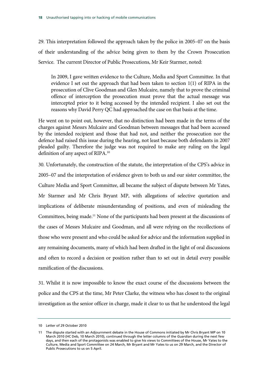29. This interpretation followed the approach taken by the police in 2005–07 on the basis of their understanding of the advice being given to them by the Crown Prosecution Service. The current Director of Public Prosecutions, Mr Keir Starmer, noted:

In 2009, I gave written evidence to the Culture, Media and Sport Committee. In that evidence I set out the approach that had been taken to section 1(1) of RIPA in the prosecution of Clive Goodman and Glen Mulcaire, namely that to prove the criminal offence of interception the prosecution must prove that the actual message was intercepted prior to it being accessed by the intended recipient. I also set out the reasons why David Perry QC had approached the case on that basis at the time.

He went on to point out, however, that no distinction had been made in the terms of the charges against Messrs Mulcaire and Goodman between messages that had been accessed by the intended recipient and those that had not, and neither the prosecution nor the defence had raised this issue during the hearing, not least because both defendants in 2007 pleaded guilty. Therefore the judge was not required to make any ruling on the legal definition of any aspect of RIPA.10

30. Unfortunately, the construction of the statute, the interpretation of the CPS's advice in 2005–07 and the interpretation of evidence given to both us and our sister committee, the Culture Media and Sport Committee, all became the subject of dispute between Mr Yates, Mr Starmer and Mr Chris Bryant MP, with allegations of selective quotation and implications of deliberate misunderstanding of positions, and even of misleading the Committees, being made.11 None of the participants had been present at the discussions of the cases of Messrs Mulcaire and Goodman, and all were relying on the recollections of those who were present and who could be asked for advice and the information supplied in any remaining documents, many of which had been drafted in the light of oral discussions and often to record a decision or position rather than to set out in detail every possible ramification of the discussions.

31. Whilst it is now impossible to know the exact course of the discussions between the police and the CPS at the time, Mr Peter Clarke, the witness who has closest to the original investigation as the senior officer in charge, made it clear to us that he understood the legal

<sup>10</sup> Letter of 29 October 2010

<sup>11</sup> The dispute started with an Adjournment debate in the House of Commons initiated by Mr Chris Bryant MP on 10 March 2010 (HC Deb, 10 March 2010), continued through the letter columns of the *Guardian* during the next few days, and then each of the protagonists was enabled to give his views to Committees of the House, Mr Yates to the Culture, Media and Sport Committee on 24 March, Mr Bryant and Mr Yates to us on 29 March, and the Director of Public Prosecutions to us on 5 April.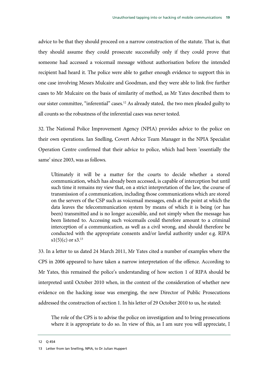advice to be that they should proceed on a narrow construction of the statute. That is, that they should assume they could prosecute successfully only if they could prove that someone had accessed a voicemail message without authorisation before the intended recipient had heard it. The police were able to gather enough evidence to support this in one case involving Messrs Mulcaire and Goodman, and they were able to link five further cases to Mr Mulcaire on the basis of similarity of method, as Mr Yates described them to our sister committee, "inferential" cases.<sup>12</sup> As already stated, the two men pleaded guilty to all counts so the robustness of the inferential cases was never tested.

32. The National Police Improvement Agency (NPIA) provides advice to the police on their own operations. Ian Snelling, Covert Advice Team Manager in the NPIA Specialist Operation Centre confirmed that their advice to police, which had been 'essentially the same' since 2003, was as follows.

Ultimately it will be a matter for the courts to decide whether a stored communication, which has already been accessed, is capable of interception but until such time it remains my view that, on a strict interpretation of the law, the course of transmission of a communication, including those communications which are stored on the servers of the CSP such as voicemail messages, ends at the point at which the data leaves the telecommunication system by means of which it is being (or has been) transmitted and is no longer accessible, and not simply when the message has been listened to. Accessing such voicemails could therefore amount to a criminal interception of a communication, as well as a civil wrong, and should therefore be conducted with the appropriate consents and/or lawful authority under e.g. RIPA  $s1(5)(c)$  or  $s3.<sup>13</sup>$ 

33. In a letter to us dated 24 March 2011, Mr Yates cited a number of examples where the CPS in 2006 appeared to have taken a narrow interpretation of the offence. According to Mr Yates, this remained the police's understanding of how section 1 of RIPA should be interpreted until October 2010 when, in the context of the consideration of whether new evidence on the hacking issue was emerging, the new Director of Public Prosecutions addressed the construction of section 1. In his letter of 29 October 2010 to us, he stated:

The role of the CPS is to advise the police on investigation and to bring prosecutions where it is appropriate to do so. In view of this, as I am sure you will appreciate, I

12 Q 454

<sup>13</sup> Letter from Ian Snelling, NPIA, to Dr Julian Huppert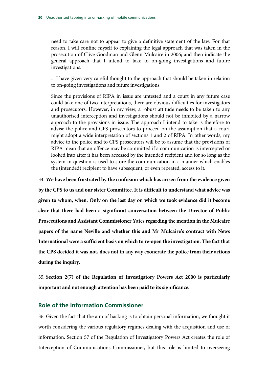need to take care not to appear to give a definitive statement of the law. For that reason, I will confine myself to explaining the legal approach that was taken in the prosecution of Clive Goodman and Glenn Mulcaire in 2006; and then indicate the general approach that I intend to take to on-going investigations and future investigations.

... I have given very careful thought to the approach that should be taken in relation to on-going investigations and future investigations.

Since the provisions of RIPA in issue are untested and a court in any future case could take one of two interpretations, there are obvious difficulties for investigators and prosecutors. However, in my view, a robust attitude needs to be taken to any unauthorised interception and investigations should not be inhibited by a narrow approach to the provisions in issue. The approach I intend to take is therefore to advise the police and CPS prosecutors to proceed on the assumption that a court might adopt a wide interpretation of sections 1 and 2 of RIPA. In other words, my advice to the police and to CPS prosecutors will be to assume that the provisions of RIPA mean that an offence may be committed if a communication is intercepted or looked into after it has been accessed by the intended recipient and for so long as the system in question is used to store the communication in a manner which enables the (intended) recipient to have subsequent, or even repeated, access to it.

34. **We have been frustrated by the confusion which has arisen from the evidence given by the CPS to us and our sister Committee. It is difficult to understand what advice was given to whom, when. Only on the last day on which we took evidence did it become clear that there had been a significant conversation between the Director of Public Prosecutions and Assistant Commissioner Yates regarding the mention in the Mulcaire papers of the name Neville and whether this and Mr Mulcaire's contract with News International were a sufficient basis on which to re-open the investigation. The fact that the CPS decided it was not, does not in any way exonerate the police from their actions during the inquiry.** 

35. **Section 2(7) of the Regulation of Investigatory Powers Act 2000 is particularly important and not enough attention has been paid to its significance.**

### **Role of the Information Commissioner**

36. Given the fact that the aim of hacking is to obtain personal information, we thought it worth considering the various regulatory regimes dealing with the acquisition and use of information. Section 57 of the Regulation of Investigatory Powers Act creates the role of Interception of Communications Commissioner, but this role is limited to overseeing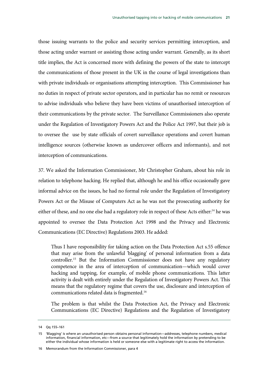those issuing warrants to the police and security services permitting interception, and those acting under warrant or assisting those acting under warrant. Generally, as its short title implies, the Act is concerned more with defining the powers of the state to intercept the communications of those present in the UK in the course of legal investigations than with private individuals or organisations attempting interception. This Commissioner has no duties in respect of private sector operators, and in particular has no remit or resources to advise individuals who believe they have been victims of unauthorised interception of their communications by the private sector. The Surveillance Commissioners also operate under the Regulation of Investigatory Powers Act and the Police Act 1997, but their job is to oversee the use by state officials of covert surveillance operations and covert human intelligence sources (otherwise known as undercover officers and informants), and not interception of communications.

37. We asked the Information Commissioner, Mr Christopher Graham, about his role in relation to telephone hacking. He replied that, although he and his office occasionally gave informal advice on the issues, he had no formal role under the Regulation of Investigatory Powers Act or the Misuse of Computers Act as he was not the prosecuting authority for either of these, and no one else had a regulatory role in respect of these Acts either:<sup>14</sup> he was appointed to oversee the Data Protection Act 1998 and the Privacy and Electronic Communications (EC Directive) Regulations 2003. He added:

Thus I have responsibility for taking action on the Data Protection Act s.55 offence that may arise from the unlawful 'blagging' of personal information from a data controller.15 But the Information Commissioner does not have any regulatory competence in the area of interception of communication—which would cover hacking and tapping, for example, of mobile phone communications. This latter activity is dealt with entirely under the Regulation of Investigatory Powers Act. This means that the regulatory regime that covers the use, disclosure and interception of communications related data is fragmented.16

The problem is that whilst the Data Protection Act, the Privacy and Electronic Communications (EC Directive) Regulations and the Regulation of Investigatory

16 Memorandum from the Information Commissioner, para 4

<sup>14</sup> Qq 155–161

<sup>15 &#</sup>x27;Blagging' is where an unauthorised person obtains personal information—addresses, telephone numbers, medical information, financial information, etc—from a source that legitimately hold the information by pretending to be either the individual whose information is held or someone else with a legitimate right to access the information.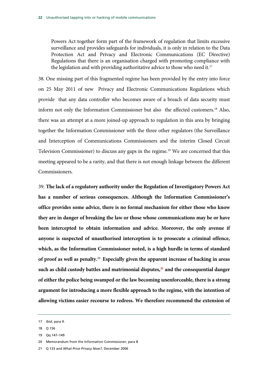Powers Act together form part of the framework of regulation that limits excessive surveillance and provides safeguards for individuals, it is only in relation to the Data Protection Act and Privacy and Electronic Communications (EC Directive) Regulations that there is an organisation charged with promoting compliance with the legislation and with providing authoritative advice to those who need it.<sup>17</sup>

38. One missing part of this fragmented regime has been provided by the entry into force on 25 May 2011 of new Privacy and Electronic Communications Regulations which provide that any data controller who becomes aware of a breach of data security must inform not only the Information Commissioner but also the affected customers.18 Also, there was an attempt at a more joined-up approach to regulation in this area by bringing together the Information Commissioner with the three other regulators (the Surveillance and Interception of Communications Commissioners and the interim Closed Circuit Television Commissioner) to discuss any gaps in the regime.<sup>19</sup> We are concerned that this meeting appeared to be a rarity, and that there is not enough linkage between the different Commissioners.

39. **The lack of a regulatory authority under the Regulation of Investigatory Powers Act has a number of serious consequences. Although the Information Commissioner's office provides some advice, there is no formal mechanism for either those who know they are in danger of breaking the law or those whose communications may be or have been intercepted to obtain information and advice. Moreover, the only avenue if anyone is suspected of unauthorised interception is to prosecute a criminal offence, which, as the Information Commissioner noted, is a high hurdle in terms of standard of proof as well as penalty.**<sup>20</sup>**Especially given the apparent increase of hacking in areas**  such as child custody battles and matrimonial disputes,<sup>21</sup> and the consequential danger **of either the police being swamped or the law becoming unenforceable, there is a strong argument for introducing a more flexible approach to the regime, with the intention of allowing victims easier recourse to redress. We therefore recommend the extension of** 

<sup>17</sup> *Ibid*, para 9.

<sup>18</sup> Q 156

<sup>19</sup> Qq 147–149

<sup>20</sup> Memorandum from the Information Commissioner, para 8

<sup>21</sup> Q 133 and *What Price Privacy Now?,* December 2006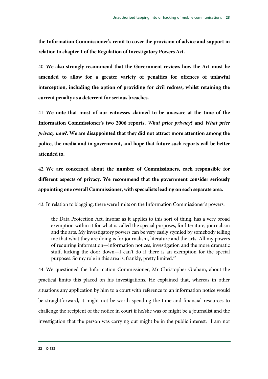**the Information Commissioner's remit to cover the provision of advice and support in relation to chapter 1 of the Regulation of Investigatory Powers Act.** 

40. **We also strongly recommend that the Government reviews how the Act must be amended to allow for a greater variety of penalties for offences of unlawful interception, including the option of providing for civil redress, whilst retaining the current penalty as a deterrent for serious breaches.**

41. **We note that most of our witnesses claimed to be unaware at the time of the Information Commissioner's two 2006 reports,** *What price privacy***? and** *What price privacy now?.* **We are disappointed that they did not attract more attention among the police, the media and in government, and hope that future such reports will be better attended to.**

42. **We are concerned about the number of Commissioners, each responsible for different aspects of privacy. We recommend that the government consider seriously appointing one overall Commissioner, with specialists leading on each separate area.**

43. In relation to blagging, there were limits on the Information Commissioner's powers:

the Data Protection Act, insofar as it applies to this sort of thing, has a very broad exemption within it for what is called the special purposes, for literature, journalism and the arts. My investigatory powers can be very easily stymied by somebody telling me that what they are doing is for journalism, literature and the arts. All my powers of requiring information—information notices, investigation and the more dramatic stuff, kicking the door down—I can't do if there is an exemption for the special purposes. So my role in this area is, frankly, pretty limited.<sup>22</sup>

44. We questioned the Information Commissioner, Mr Christopher Graham, about the practical limits this placed on his investigations. He explained that, whereas in other situations any application by him to a court with reference to an information notice would be straightforward, it might not be worth spending the time and financial resources to challenge the recipient of the notice in court if he/she was or might be a journalist and the investigation that the person was carrying out might be in the public interest: "I am not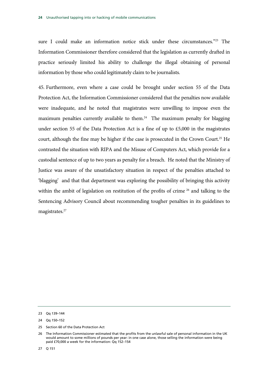sure I could make an information notice stick under these circumstances."<sup>23</sup> The Information Commissioner therefore considered that the legislation as currently drafted in practice seriously limited his ability to challenge the illegal obtaining of personal information by those who could legitimately claim to be journalists.

45. Furthermore, even where a case could be brought under section 55 of the Data Protection Act, the Information Commissioner considered that the penalties now available were inadequate, and he noted that magistrates were unwilling to impose even the maximum penalties currently available to them.<sup>24</sup> The maximum penalty for blagging under section 55 of the Data Protection Act is a fine of up to £5,000 in the magistrates court, although the fine may be higher if the case is prosecuted in the Crown Court.<sup>25</sup> He contrasted the situation with RIPA and the Misuse of Computers Act, which provide for a custodial sentence of up to two years as penalty for a breach. He noted that the Ministry of Justice was aware of the unsatisfactory situation in respect of the penalties attached to 'blagging' and that that department was exploring the possibility of bringing this activity within the ambit of legislation on restitution of the profits of crime <sup>26</sup> and talking to the Sentencing Advisory Council about recommending tougher penalties in its guidelines to magistrates.<sup>27</sup>

25 Section 60 of the Data Protection Act

27 Q 151

<sup>23</sup> Qq 139–144

<sup>24</sup> Qq 150–152

<sup>26</sup> The Information Commissioner estimated that the profits from the unlawful sale of personal information in the UK would amount to some millions of pounds per year: in one case alone, those selling the information were being paid £70,000 a week for the information: Qq 152–154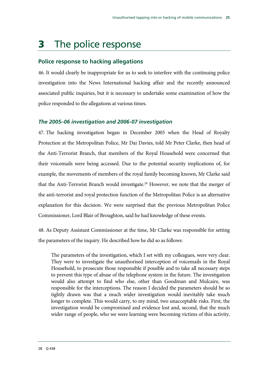# 3 The police response

### **Police response to hacking allegations**

46. It would clearly be inappropriate for us to seek to interfere with the continuing police investigation into the News International hacking affair and the recently announced associated public inquiries, but it is necessary to undertake some examination of how the police responded to the allegations at various times.

### *The 2005–06 investigation and 2006-07 investigation*

47. The hacking investigation began in December 2005 when the Head of Royalty Protection at the Metropolitan Police, Mr Dai Davies, told Mr Peter Clarke, then head of the Anti-Terrorist Branch, that members of the Royal Household were concerned that their voicemails were being accessed. Due to the potential security implications of, for example, the movements of members of the royal family becoming known, Mr Clarke said that the Anti-Terrorist Branch would investigate.<sup>28</sup> However, we note that the merger of the anti-terrorist and royal protection function of the Metropolitan Police is an alternative explanation for this decision. We were surprised that the previous Metropolitan Police Commissioner, Lord Blair of Broughton, said he had knowledge of these events.

48. As Deputy Assistant Commissioner at the time, Mr Clarke was responsible for setting the parameters of the inquiry. He described how he did so as follows:

The parameters of the investigation, which I set with my colleagues, were very clear. They were to investigate the unauthorised interception of voicemails in the Royal Household, to prosecute those responsible if possible and to take all necessary steps to prevent this type of abuse of the telephone system in the future. The investigation would also attempt to find who else, other than Goodman and Mulcaire, was responsible for the interceptions. The reason I decided the parameters should be so tightly drawn was that a much wider investigation would inevitably take much longer to complete. This would carry, to my mind, two unacceptable risks. First, the investigation would be compromised and evidence lost and, second, that the much wider range of people, who we were learning were becoming victims of this activity,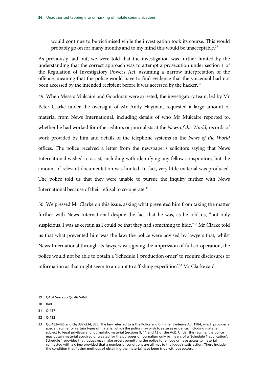would continue to be victimised while the investigation took its course. This would probably go on for many months and to my mind this would be unacceptable.<sup>29</sup>

As previously laid out, we were told that the investigation was further limited by the understanding that the correct approach was to attempt a prosecution under section 1 of the Regulation of Investigatory Powers Act, assuming a narrow interpretation of the offence, meaning that the police would have to find evidence that the voicemail had not been accessed by the intended recipient before it was accessed by the hacker.<sup>30</sup>

49. When Messrs Mulcaire and Goodman were arrested, the investigatory team, led by Mr Peter Clarke under the oversight of Mr Andy Hayman, requested a large amount of material from News International, including details of who Mr Mulcaire reported to, whether he had worked for other editors or journalists at the *News of the World*, records of work provided by him and details of the telephone systems in the *News of the World* offices. The police received a letter from the newspaper's solicitors saying that News International wished to assist, including with identifying any fellow conspirators, but the amount of relevant documentation was limited. In fact, very little material was produced. The police told us that they were unable to pursue the inquiry further with News International because of their refusal to co-operate.<sup>31</sup>

50. We pressed Mr Clarke on this issue, asking what prevented him from taking the matter further with News International despite the fact that he was, as he told us, "not only suspicious, I was as certain as I could be that they had something to hide."<sup>32</sup> Mr Clarke told us that what prevented him was the law: the police were advised by lawyers that, whilst News International through its lawyers was giving the impression of full co-operation, the police would not be able to obtain a 'Schedule 1 production order' to require disclosures of information as that might seem to amount to a 'fishing expedition'.<sup>33</sup> Mr Clarke said:

32 Q 482

<sup>29</sup> Q454 See also Qq 467-468

<sup>30</sup> Ibid.

<sup>31</sup> Q 457

<sup>33</sup> Qq 483–486 and Qq 332–334, 375. The law referred to is the Police and Criminal Evidence Act 1984, which provides a special regime for certain types of material which the police may wish to seize as evidence. Including material subject to legal privilege and journalistic material (sections 9, 11 and 13 of the Act). Under this regime, the police may obtain material acquired or created for the purposes of journalism only by means of a 'Schedule 1 application'. Schedule 1 provides that judges may make orders permitting the police to remove or have access to material connected with a crime provided that a number of conditions are all met to the judge's satisfaction. These include the condition that "other methods of obtaining the material have been tried without success.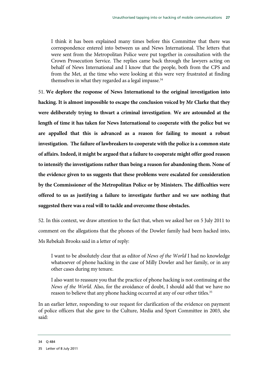I think it has been explained many times before this Committee that there was correspondence entered into between us and News International. The letters that were sent from the Metropolitan Police were put together in consultation with the Crown Prosecution Service. The replies came back through the lawyers acting on behalf of News International and I know that the people, both from the CPS and from the Met, at the time who were looking at this were very frustrated at finding themselves in what they regarded as a legal impasse.<sup>34</sup>

51. **We deplore the response of News International to the original investigation into hacking. It is almost impossible to escape the conclusion voiced by Mr Clarke that they were deliberately trying to thwart a criminal investigation**. **We are astounded at the length of time it has taken for News International to cooperate with the police but we are appalled that this is advanced as a reason for failing to mount a robust investigation. The failure of lawbreakers to cooperate with the police is a common state of affairs. Indeed, it might be argued that a failure to cooperate might offer good reason to intensify the investigations rather than being a reason for abandoning them. None of the evidence given to us suggests that these problems were escalated for consideration by the Commissioner of the Metropolitan Police or by Ministers. The difficulties were offered to us as justifying a failure to investigate further and we saw nothing that suggested there was a real will to tackle and overcome those obstacles.**

52. In this context, we draw attention to the fact that, when we asked her on 5 July 2011 to comment on the allegations that the phones of the Dowler family had been hacked into, Ms Rebekah Brooks said in a letter of reply:

I want to be absolutely clear that as editor of *News of the World* I had no knowledge whatsoever of phone hacking in the case of Milly Dowler and her family, or in any other cases during my tenure.

I also want to reassure you that the practice of phone hacking is not continuing at the *News of the World*. Also, for the avoidance of doubt, I should add that we have no reason to believe that any phone hacking occurred at any of our other titles.<sup>35</sup>

In an earlier letter, responding to our request for clarification of the evidence on payment of police officers that she gave to the Culture, Media and Sport Committee in 2003, she said:

<sup>34</sup> Q 484

<sup>35</sup> Letter of 8 July 2011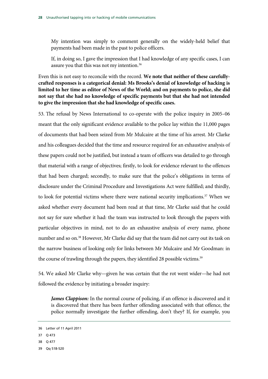My intention was simply to comment generally on the widely-held belief that payments had been made in the past to police officers.

If, in doing so, I gave the impression that I had knowledge of any specific cases, I can assure you that this was not my intention.36

Even this is not easy to reconcile with the record. **We note that neither of these carefullycrafted responses is a categorical denial: Ms Brooks's denial of knowledge of hacking is limited to her time as editor of News of the World; and on payments to police, she did not say that she had no knowledge of specific payments but that she had not intended to give the impression that she had knowledge of specific cases.**

53. The refusal by News International to co-operate with the police inquiry in 2005–06 meant that the only significant evidence available to the police lay within the 11,000 pages of documents that had been seized from Mr Mulcaire at the time of his arrest. Mr Clarke and his colleagues decided that the time and resource required for an exhaustive analysis of these papers could not be justified, but instead a team of officers was detailed to go through that material with a range of objectives; firstly, to look for evidence relevant to the offences that had been charged; secondly, to make sure that the police's obligations in terms of disclosure under the Criminal Procedure and Investigations Act were fulfilled; and thirdly, to look for potential victims where there were national security implications.<sup>37</sup> When we asked whether every document had been read at that time, Mr Clarke said that he could not say for sure whether it had: the team was instructed to look through the papers with particular objectives in mind, not to do an exhaustive analysis of every name, phone number and so on.38 However, Mr Clarke did say that the team did not carry out its task on the narrow business of looking only for links between Mr Mulcaire and Mr Goodman: in the course of trawling through the papers, they identified 28 possible victims.<sup>39</sup>

54. We asked Mr Clarke why—given he was certain that the rot went wider—he had not followed the evidence by initiating a broader inquiry:

*James Clappison:* In the normal course of policing, if an offence is discovered and it is discovered that there has been further offending associated with that offence, the police normally investigate the further offending, don't they? If, for example, you

- 37 Q 473
- 38 Q 477

<sup>36</sup> Letter of 11 April 2011

<sup>39</sup> Qq 518-520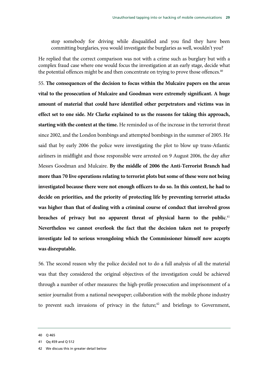stop somebody for driving while disqualified and you find they have been committing burglaries, you would investigate the burglaries as well, wouldn't you?

He replied that the correct comparison was not with a crime such as burglary but with a complex fraud case where one would focus the investigation at an early stage, decide what the potential offences might be and then concentrate on trying to prove those offences.<sup>40</sup>

55. **The consequences of the decision to focus within the Mulcaire papers on the areas vital to the prosecution of Mulcaire and Goodman were extremely significant. A huge amount of material that could have identified other perpetrators and victims was in effect set to one side. Mr Clarke explained to us the reasons for taking this approach, starting with the context at the time.** He reminded us of the increase in the terrorist threat since 2002, and the London bombings and attempted bombings in the summer of 2005. He said that by early 2006 the police were investigating the plot to blow up trans-Atlantic airliners in midflight and those responsible were arrested on 9 August 2006, the day after Messrs Goodman and Mulcaire. **By the middle of 2006 the Anti-Terrorist Branch had more than 70 live operations relating to terrorist plots but some of these were not being investigated because there were not enough officers to do so. In this context, he had to decide on priorities, and the priority of protecting life by preventing terrorist attacks was higher than that of dealing with a criminal course of conduct that involved gross**  breaches of privacy but no apparent threat of physical harm to the public.<sup>41</sup> **Nevertheless we cannot overlook the fact that the decision taken not to properly investigate led to serious wrongdoing which the Commissioner himself now accepts was disreputable.**

56. The second reason why the police decided not to do a full analysis of all the material was that they considered the original objectives of the investigation could be achieved through a number of other measures: the high-profile prosecution and imprisonment of a senior journalist from a national newspaper; collaboration with the mobile phone industry to prevent such invasions of privacy in the future; $42$  and briefings to Government,

<sup>40</sup> Q 465

<sup>41</sup> Qq 459 and Q 512

<sup>42</sup> We discuss this in greater detail below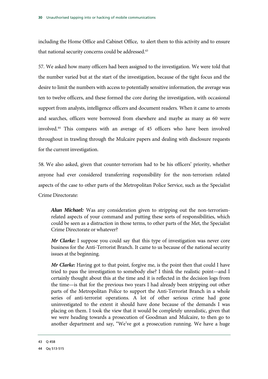including the Home Office and Cabinet Office, to alert them to this activity and to ensure that national security concerns could be addressed.<sup>43</sup>

57. We asked how many officers had been assigned to the investigation. We were told that the number varied but at the start of the investigation, because of the tight focus and the desire to limit the numbers with access to potentially sensitive information, the average was ten to twelve officers, and these formed the core during the investigation, with occasional support from analysts, intelligence officers and document readers. When it came to arrests and searches, officers were borrowed from elsewhere and maybe as many as 60 were involved.44 This compares with an average of 45 officers who have been involved throughout in trawling through the Mulcaire papers and dealing with disclosure requests for the current investigation.

58. We also asked, given that counter-terrorism had to be his officers' priority, whether anyone had ever considered transferring responsibility for the non-terrorism related aspects of the case to other parts of the Metropolitan Police Service, such as the Specialist Crime Directorate:

*Alun Michael:* Was any consideration given to stripping out the non-terrorismrelated aspects of your command and putting these sorts of responsibilities, which could be seen as a distraction in those terms, to other parts of the Met, the Specialist Crime Directorate or whatever?

*Mr Clarke:* I suppose you could say that this type of investigation was never core business for the Anti-Terrorist Branch. It came to us because of the national security issues at the beginning.

*Mr Clarke:* Having got to that point, forgive me, is the point then that could I have tried to pass the investigation to somebody else? I think the realistic point—and I certainly thought about this at the time and it is reflected in the decision logs from the time—is that for the previous two years I had already been stripping out other parts of the Metropolitan Police to support the Anti-Terrorist Branch in a whole series of anti-terrorist operations. A lot of other serious crime had gone uninvestigated to the extent it should have done because of the demands I was placing on them. I took the view that it would be completely unrealistic, given that we were heading towards a prosecution of Goodman and Mulcaire, to then go to another department and say, "We've got a prosecution running. We have a huge

<sup>43</sup> Q 458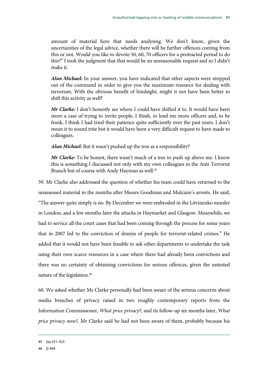amount of material here that needs analysing. We don't know, given the uncertainties of the legal advice, whether there will be further offences coming from this or not. Would you like to devote 50, 60, 70 officers for a protracted period to do this?" I took the judgment that that would be an unreasonable request and so I didn't make it.

*Alun Michael:* In your answer, you have indicated that other aspects were stripped out of the command in order to give you the maximum resource for dealing with terrorism. With the obvious benefit of hindsight, might it not have been better to shift this activity as well?

*Mr Clarke:* I don't honestly see where I could have shifted it to. It would have been more a case of trying to invite people, I think, to lend me more officers and, to be frank, I think I had tried their patience quite sufficiently over the past years. I don't mean it to sound trite but it would have been a very difficult request to have made to colleagues.

*Alun Michael:* But it wasn't pushed up the tree as a responsibility?

*Mr Clarke:* To be honest, there wasn't much of a tree to push up above me. I know this is something I discussed not only with my own colleagues in the Anti-Terrorist Branch but of course with Andy Hayman as well.<sup>45</sup>

59. Mr Clarke also addressed the question of whether his team could have returned to the unassessed material in the months after Messrs Goodman and Mulcaire's arrests. He said, "The answer quite simply is no. By December we were embroiled in the Litvinenko murder in London, and a few months later the attacks in Haymarket and Glasgow. Meanwhile, we had to service all the court cases that had been coming through the process for some years that in 2007 led to the conviction of dozens of people for terrorist-related crimes." He added that it would not have been feasible to ask other departments to undertake the task using their own scarce resources in a case where there had already been convictions and there was no certainty of obtaining convictions for serious offences, given the untested nature of the legislation.46

60. We asked whether Mr Clarke personally had been aware of the serious concerns about media breaches of privacy raised in two roughly contemporary reports from the Information Commissioner, *What price privacy?,* and its follow-up six months later, *What price privacy now?,* Mr Clarke said he had not been aware of them, probably because his

<sup>45</sup> Qq 521–523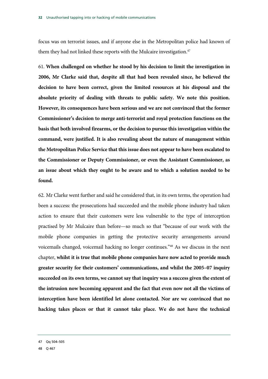focus was on terrorist issues, and if anyone else in the Metropolitan police had known of them they had not linked these reports with the Mulcaire investigation.<sup>47</sup>

61. **When challenged on whether he stood by his decision to limit the investigation in 2006, Mr Clarke said that, despite all that had been revealed since, he believed the decision to have been correct, given the limited resources at his disposal and the absolute priority of dealing with threats to public safety. We note this position. However, its consequences have been serious and we are not convinced that the former Commissioner's decision to merge anti-terrorist and royal protection functions on the basis that both involved firearms, or the decision to pursue this investigation within the command, were justified. It is also revealing about the nature of management within the Metropolitan Police Service that this issue does not appear to have been escalated to the Commissioner or Deputy Commissioner, or even the Assistant Commissioner, as an issue about which they ought to be aware and to which a solution needed to be found.**

62. Mr Clarke went further and said he considered that, in its own terms, the operation had been a success: the prosecutions had succeeded and the mobile phone industry had taken action to ensure that their customers were less vulnerable to the type of interception practised by Mr Mulcaire than before—so much so that "because of our work with the mobile phone companies in getting the protective security arrangements around voicemails changed, voicemail hacking no longer continues."48 As we discuss in the next chapter, **whilst it is true that mobile phone companies have now acted to provide much greater security for their customers' communications, and whilst the 2005–07 inquiry succeeded on its own terms, we cannot say that inquiry was a success given the extent of the intrusion now becoming apparent and the fact that even now not all the victims of interception have been identified let alone contacted. Nor are we convinced that no hacking takes places or that it cannot take place. We do not have the technical** 

<sup>47</sup> Qq 504–505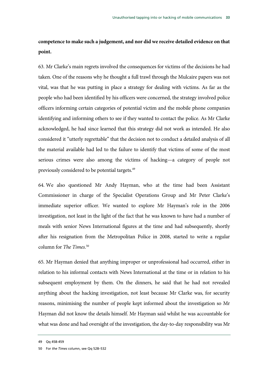**competence to make such a judgement, and nor did we receive detailed evidence on that point.**

63. Mr Clarke's main regrets involved the consequences for victims of the decisions he had taken. One of the reasons why he thought a full trawl through the Mulcaire papers was not vital, was that he was putting in place a strategy for dealing with victims. As far as the people who had been identified by his officers were concerned, the strategy involved police officers informing certain categories of potential victim and the mobile phone companies identifying and informing others to see if they wanted to contact the police. As Mr Clarke acknowledged, he had since learned that this strategy did not work as intended. He also considered it "utterly regrettable" that the decision not to conduct a detailed analysis of all the material available had led to the failure to identify that victims of some of the most serious crimes were also among the victims of hacking—a category of people not previously considered to be potential targets.<sup>49</sup>

64. We also questioned Mr Andy Hayman, who at the time had been Assistant Commissioner in charge of the Specialist Operations Group and Mr Peter Clarke's immediate superior officer. We wanted to explore Mr Hayman's role in the 2006 investigation, not least in the light of the fact that he was known to have had a number of meals with senior News International figures at the time and had subsequently, shortly after his resignation from the Metropolitan Police in 2008, started to write a regular column for *The Times*. 50

65. Mr Hayman denied that anything improper or unprofessional had occurred, either in relation to his informal contacts with News International at the time or in relation to his subsequent employment by them. On the dinners, he said that he had not revealed anything about the hacking investigation, not least because Mr Clarke was, for security reasons, minimising the number of people kept informed about the investigation so Mr Hayman did not know the details himself. Mr Hayman said whilst he was accountable for what was done and had oversight of the investigation, the day-to-day responsibility was Mr

<sup>49</sup> Qq 458-459

<sup>50</sup> For *the Times* column, see Qq 528–532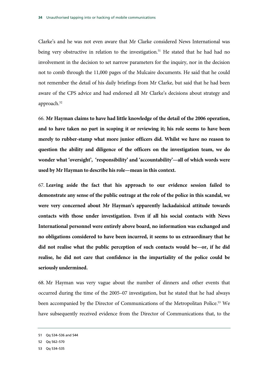Clarke's and he was not even aware that Mr Clarke considered News International was being very obstructive in relation to the investigation.<sup>51</sup> He stated that he had had no involvement in the decision to set narrow parameters for the inquiry, nor in the decision not to comb through the 11,000 pages of the Mulcaire documents. He said that he could not remember the detail of his daily briefings from Mr Clarke, but said that he had been aware of the CPS advice and had endorsed all Mr Clarke's decisions about strategy and approach.<sup>52</sup>

66. **Mr Hayman claims to have had little knowledge of the detail of the 2006 operation, and to have taken no part in scoping it or reviewing it; his role seems to have been merely to rubber-stamp what more junior officers did. Whilst we have no reason to question the ability and diligence of the officers on the investigation team, we do wonder what 'oversight', 'responsibility' and 'accountability'—all of which words were used by Mr Hayman to describe his role—mean in this context.** 

67. **Leaving aside the fact that his approach to our evidence session failed to demonstrate any sense of the public outrage at the role of the police in this scandal, we were very concerned about Mr Hayman's apparently lackadaisical attitude towards contacts with those under investigation. Even if all his social contacts with News International personnel were entirely above board, no information was exchanged and no obligations considered to have been incurred, it seems to us extraordinary that he did not realise what the public perception of such contacts would be—or, if he did realise, he did not care that confidence in the impartiality of the police could be seriously undermined.** 

68. Mr Hayman was very vague about the number of dinners and other events that occurred during the time of the 2005–07 investigation, but he stated that he had always been accompanied by the Director of Communications of the Metropolitan Police.<sup>53</sup> We have subsequently received evidence from the Director of Communications that, to the

<sup>51</sup> Qq 534–536 and 544

<sup>52</sup> Qq 562–570

<sup>53</sup> Qq 534–535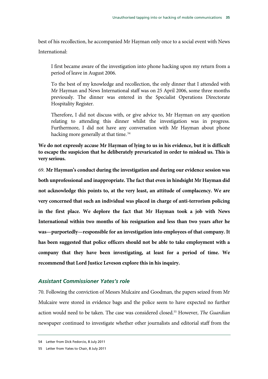best of his recollection, he accompanied Mr Hayman only once to a social event with News

International:

I first became aware of the investigation into phone hacking upon my return from a period of leave in August 2006.

To the best of my knowledge and recollection, the only dinner that I attended with Mr Hayman and News International staff was on 25 April 2006, some three months previously. The dinner was entered in the Specialist Operations Directorate Hospitality Register.

Therefore, I did not discuss with, or give advice to, Mr Hayman on any question relating to attending this dinner whilst the investigation was in progress. Furthermore, I did not have any conversation with Mr Hayman about phone hacking more generally at that time. 54

**We do not expressly accuse Mr Hayman of lying to us in his evidence, but it is difficult to escape the suspicion that he deliberately prevaricated in order to mislead us. This is very serious.**

69. **Mr Hayman's conduct during the investigation and during our evidence session was both unprofessional and inappropriate. The fact that even in hindsight Mr Hayman did not acknowledge this points to, at the very least, an attitude of complacency. We are very concerned that such an individual was placed in charge of anti-terrorism policing in the first place. We deplore the fact that Mr Hayman took a job with News International within two months of his resignation and less than two years after he was—purportedly—responsible for an investigation into employees of that company. It has been suggested that police officers should not be able to take employment with a company that they have been investigating, at least for a period of time. We recommend that Lord Justice Leveson explore this in his inquiry.**

### *Assistant Commissioner Yates's role*

70. Following the conviction of Messrs Mulcaire and Goodman, the papers seized from Mr Mulcaire were stored in evidence bags and the police seem to have expected no further action would need to be taken. The case was considered closed.55 However, *The Guardian* newspaper continued to investigate whether other journalists and editorial staff from the

<sup>54</sup> Letter from Dick Fedorcio, 8 July 2011

<sup>55</sup> Letter from Yates to Chair, 8 July 2011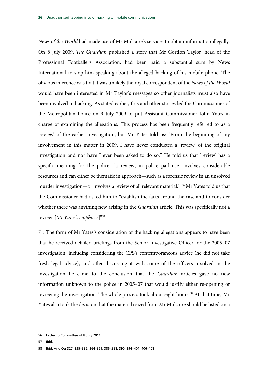*News of the World* had made use of Mr Mulcaire's services to obtain information illegally. On 8 July 2009, *The Guardian* published a story that Mr Gordon Taylor, head of the Professional Footballers Association, had been paid a substantial sum by News International to stop him speaking about the alleged hacking of his mobile phone. The obvious inference was that it was unlikely the royal correspondent of the *News of the World* would have been interested in Mr Taylor's messages so other journalists must also have been involved in hacking. As stated earlier, this and other stories led the Commissioner of the Metropolitan Police on 9 July 2009 to put Assistant Commissioner John Yates in charge of examining the allegations. This process has been frequently referred to as a 'review' of the earlier investigation, but Mr Yates told us: "From the beginning of my involvement in this matter in 2009, I have never conducted a 'review' of the original investigation and nor have I ever been asked to do so." He told us that 'review' has a specific meaning for the police, "a review, in police parlance, involves considerable resources and can either be thematic in approach—such as a forensic review in an unsolved murder investigation—or involves a review of all relevant material." 56 Mr Yates told us that the Commissioner had asked him to "establish the facts around the case and to consider whether there was anything new arising in the *Guardian* article. This was specifically not a review. [*Mr Yates's emphasis*]"57

71. The form of Mr Yates's consideration of the hacking allegations appears to have been that he received detailed briefings from the Senior Investigative Officer for the 2005–07 investigation, including considering the CPS's contemporaneous advice (he did not take fresh legal advice), and after discussing it with some of the officers involved in the investigation he came to the conclusion that the *Guardian* articles gave no new information unknown to the police in 2005–07 that would justify either re-opening or reviewing the investigation. The whole process took about eight hours.<sup>58</sup> At that time, Mr Yates also took the decision that the material seized from Mr Mulcaire should be listed on a

57 Ibid.

<sup>56</sup> Letter to Committee of 8 July 2011

<sup>58</sup> Ibid. And Qq 327, 335–336, 364–369, 386–388, 390, 394–401, 406–408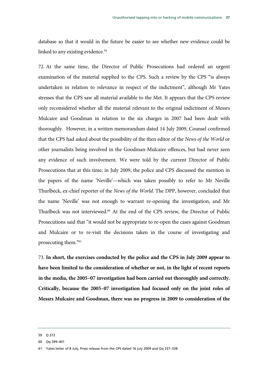database so that it would in the future be easier to see whether new evidence could be linked to any existing evidence.<sup>59</sup>

72. At the same time, the Director of Public Prosecutions had ordered an urgent examination of the material supplied to the CPS. Such a review by the CPS "is always undertaken in relation to relevance in respect of the indictment", although Mr Yates stresses that the CPS saw all material available to the Met. It appears that the CPS review only reconsidered whether all the material relevant to the original indictment of Messrs Mulcaire and Goodman in relation to the six charges in 2007 had been dealt with thoroughly. However, in a written memorandum dated 14 July 2009, Counsel confirmed that the CPS had asked about the possibility of the then editor of the *News of the World* or other journalists being involved in the Goodman-Mulcaire offences, but had never seen any evidence of such involvement. We were told by the current Director of Public Prosecutions that at this time, in July 2009, the police and CPS discussed the mention in the papers of the name 'Neville'—which was taken possibly to refer to Mr Neville Thurlbeck, ex-chief reporter of the *News of the World*. The DPP, however, concluded that the name 'Neville' was not enough to warrant re-opening the investigation, and Mr Thurlbeck was not interviewed.<sup>60</sup> At the end of the CPS review, the Director of Public Prosecutions said that "it would not be appropriate to re-open the cases against Goodman and Mulcaire or to re-visit the decisions taken in the course of investigating and prosecuting them."61

73. **In short, the exercises conducted by the police and the CPS in July 2009 appear to have been limited to the consideration of whether or not, in the light of recent reports in the media, the 2005–07 investigation had been carried out thoroughly and correctly. Critically, because the 2005–07 investigation had focused only on the joint roles of Messrs Mulcaire and Goodman, there was no progress in 2009 to consideration of the** 

<sup>59</sup> Q 372

<sup>60</sup> Qq 399–401

<sup>61</sup> Yates letter of 8 July, Press release from the CPS dated 16 july 2009 and Qq 337–338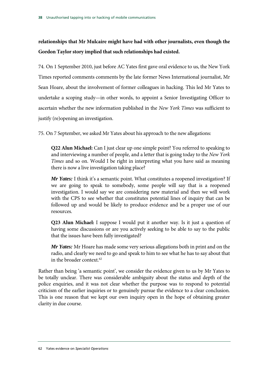### **relationships that Mr Mulcaire might have had with other journalists, even though the Gordon Taylor story implied that such relationships had existed.**

74. On 1 September 2010, just before AC Yates first gave oral evidence to us, the New York Times reported comments comments by the late former News International journalist, Mr Sean Hoare, about the involvement of former colleagues in hacking. This led Mr Yates to undertake a scoping study—in other words, to appoint a Senior Investigating Officer to ascertain whether the new information published in the *New York Times* was sufficient to justify (re)opening an investigation.

75. On 7 September, we asked Mr Yates about his approach to the new allegations:

**Q22 Alun Michael:** Can I just clear up one simple point? You referred to speaking to and interviewing a number of people, and a letter that is going today to the *New York Times* and so on. Would I be right in interpreting what you have said as meaning there is now a live investigation taking place?

*Mr Yates:* I think it's a semantic point. What constitutes a reopened investigation? If we are going to speak to somebody, some people will say that is a reopened investigation. I would say we are considering new material and then we will work with the CPS to see whether that constitutes potential lines of inquiry that can be followed up and would be likely to produce evidence and be a proper use of our resources.

**Q23 Alun Michael:** I suppose I would put it another way. Is it just a question of having some discussions or are you actively seeking to be able to say to the public that the issues have been fully investigated?

*Mr Yates:* Mr Hoare has made some very serious allegations both in print and on the radio, and clearly we need to go and speak to him to see what he has to say about that in the broader context.<sup>62</sup>

Rather than being 'a semantic point', we consider the evidence given to us by Mr Yates to be totally unclear. There was considerable ambiguity about the status and depth of the police enquiries, and it was not clear whether the purpose was to respond to potential criticism of the earlier inquiries or to genuinely pursue the evidence to a clear conclusion. This is one reason that we kept our own inquiry open in the hope of obtaining greater clarity in due course.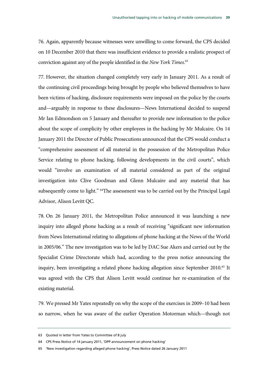76. Again, apparently because witnesses were unwilling to come forward, the CPS decided on 10 December 2010 that there was insufficient evidence to provide a realistic prospect of conviction against any of the people identified in the *New York Times*. 63

77. However, the situation changed completely very early in January 2011. As a result of the continuing civil proceedings being brought by people who believed themselves to have been victims of hacking, disclosure requirements were imposed on the police by the courts and—arguably in response to these disclosures—News International decided to suspend Mr Ian Edmondson on 5 January and thereafter to provide new information to the police about the scope of complicity by other employees in the hacking by Mr Mulcaire. On 14 January 2011 the Director of Public Prosecutions announced that the CPS would conduct a "comprehensive assessment of all material in the possession of the Metropolitan Police Service relating to phone hacking, following developments in the civil courts", which would "involve an examination of all material considered as part of the original investigation into Clive Goodman and Glenn Mulcaire and any material that has subsequently come to light." <sup>64</sup>The assessment was to be carried out by the Principal Legal Advisor, Alison Levitt QC.

78. On 26 January 2011, the Metropolitan Police announced it was launching a new inquiry into alleged phone hacking as a result of receiving "significant new information from News International relating to allegations of phone hacking at the News of the World in 2005/06." The new investigation was to be led by DAC Sue Akers and carried out by the Specialist Crime Directorate which had, according to the press notice announcing the inquiry, been investigating a related phone hacking allegation since September 2010.<sup>65</sup> It was agreed with the CPS that Alison Levitt would continue her re-examination of the existing material.

79. We pressed Mr Yates repeatedly on why the scope of the exercises in 2009–10 had been so narrow, when he was aware of the earlier Operation Motorman which—though not

64 CPS Press Notice of 14 january 2011, 'DPP announcement on phone hacking'

<sup>63</sup> Quoted in letter from Yates to Committee of 8 july

<sup>65 &#</sup>x27;New investigation regarding alleged phone hacking', Press Notice dated 26 January 2011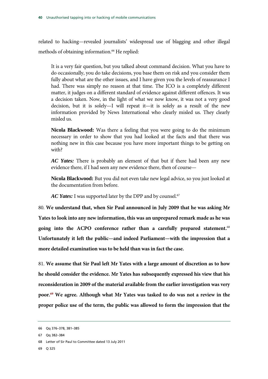related to hacking—revealed journalists' widespread use of blagging and other illegal methods of obtaining information.<sup>66</sup> He replied:

It is a very fair question, but you talked about command decision. What you have to do occasionally, you do take decisions, you base them on risk and you consider them fully about what are the other issues, and I have given you the levels of reassurance I had. There was simply no reason at that time. The ICO is a completely different matter, it judges on a different standard of evidence against different offences. It was a decision taken. Now, in the light of what we now know, it was not a very good decision, but it is solely—I will repeat it—it is solely as a result of the new information provided by News International who clearly misled us. They clearly misled us.

**Nicola Blackwood:** Was there a feeling that you were going to do the minimum necessary in order to show that you had looked at the facts and that there was nothing new in this case because you have more important things to be getting on with?

*AC Yates:* There is probably an element of that but if there had been any new evidence there, if I had seen any new evidence there, then of course—

**Nicola Blackwood:** But you did not even take new legal advice, so you just looked at the documentation from before.

*AC Yates:* I was supported later by the DPP and by counsel.<sup>67</sup>

80. **We understand that, when Sir Paul announced in July 2009 that he was asking Mr Yates to look into any new information, this was an unprepared remark made as he was going into the ACPO conference rather than a carefully prepared statement.**<sup>68</sup> **Unfortunately it left the public—and indeed Parliament—with the impression that a more detailed examination was to be held than was in fact the case.**

81. **We assume that Sir Paul left Mr Yates with a large amount of discretion as to how he should consider the evidence. Mr Yates has subsequently expressed his view that his reconsideration in 2009 of the material available from the earlier investigation was very poor.69 We agree. Although what Mr Yates was tasked to do was not a review in the proper police use of the term, the public was allowed to form the impression that the** 

69 Q 325

<sup>66</sup> Qq 376–378, 381–385

<sup>67</sup> Qq 382–384

<sup>68</sup> Letter of Sir Paul to Committee dated 13 July 2011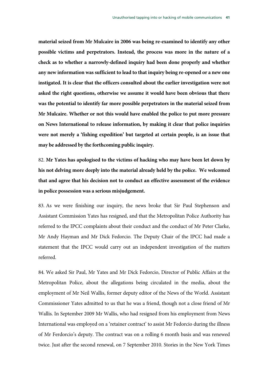**material seized from Mr Mulcaire in 2006 was being re-examined to identify any other possible victims and perpetrators. Instead, the process was more in the nature of a check as to whether a narrowly-defined inquiry had been done properly and whether any new information was sufficient to lead to that inquiry being re-opened or a new one instigated. It is clear that the officers consulted about the earlier investigation were not asked the right questions, otherwise we assume it would have been obvious that there was the potential to identify far more possible perpetrators in the material seized from Mr Mulcaire. Whether or not this would have enabled the police to put more pressure on News International to release information, by making it clear that police inquiries were not merely a 'fishing expedition' but targeted at certain people, is an issue that may be addressed by the forthcoming public inquiry.** 

82. **Mr Yates has apologised to the victims of hacking who may have been let down by his not delving more deeply into the material already held by the police. We welcomed that and agree that his decision not to conduct an effective assessment of the evidence in police possession was a serious misjudgement.**

83. As we were finishing our inquiry, the news broke that Sir Paul Stephenson and Assistant Commission Yates has resigned, and that the Metropolitan Police Authority has referred to the IPCC complaints about their conduct and the conduct of Mr Peter Clarke, Mr Andy Hayman and Mr Dick Fedorcio. The Deputy Chair of the IPCC had made a statement that the IPCC would carry out an independent investigation of the matters referred.

84. We asked Sir Paul, Mr Yates and Mr Dick Fedorcio, Director of Public Affairs at the Metropolitan Police, about the allegations being circulated in the media, about the employment of Mr Neil Wallis, former deputy editor of the News of the World. Assistant Commissioner Yates admitted to us that he was a friend, though not a close friend of Mr Wallis. In September 2009 Mr Wallis, who had resigned from his employment from News International was employed on a 'retainer contract' to assist Mr Fedorcio during the illness of Mr Ferdorcio's deputy. The contract was on a rolling 6 month basis and was renewed twice. Just after the second renewal, on 7 September 2010. Stories in the New York Times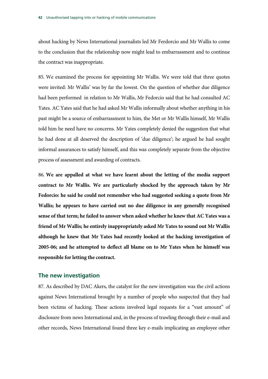about hacking by News International journalists led Mr Ferdorcio and Mr Wallis to come to the conclusion that the relationship now might lead to embarrassment and to continue the contract was inappropriate.

85. We examined the process for appointing Mr Wallis. We were told that three quotes were invited: Mr Wallis' was by far the lowest. On the question of whether due diligence had been performed in relation to Mr Wallis, Mr Fedorcio said that he had consulted AC Yates. AC Yates said that he had asked Mr Wallis informally about whether anything in his past might be a source of embarrassment to him, the Met or Mr Wallis himself, Mr Wallis told him he need have no concerns. Mr Yates completely denied the suggestion that what he had done at all deserved the description of 'due diligence'; he argued he had sought informal assurances to satisfy himself, and this was completely separate from the objective process of assessment and awarding of contracts.

86. **We are appalled at what we have learnt about the letting of the media support contract to Mr Wallis. We are particularly shocked by the approach taken by Mr Fedorcio: he said he could not remember who had suggested seeking a quote from Mr Wallis; he appears to have carried out no due diligence in any generally recognised sense of that term; he failed to answer when asked whether he knew that AC Yates was a friend of Mr Wallis; he entirely inappropriately asked Mr Yates to sound out Mr Wallis although he knew that Mr Yates had recently looked at the hacking investigation of 2005-06; and he attempted to deflect all blame on to Mr Yates when he himself was responsible for letting the contract.**

### **The new investigation**

87. As described by DAC Akers, the catalyst for the new investigation was the civil actions against News International brought by a number of people who suspected that they had been victims of hacking. These actions involved legal requests for a "vast amount" of disclosure from news International and, in the process of trawling through their e-mail and other records, News International found three key e-mails implicating an employee other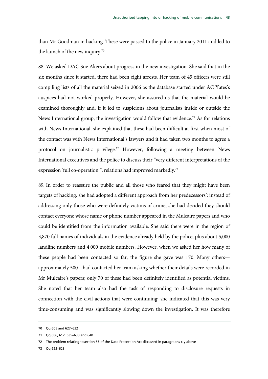than Mr Goodman in hacking. These were passed to the police in January 2011 and led to the launch of the new inquiry.<sup>70</sup>

88. We asked DAC Sue Akers about progress in the new investigation. She said that in the six months since it started, there had been eight arrests. Her team of 45 officers were still compiling lists of all the material seized in 2006 as the database started under AC Yates's auspices had not worked properly. However, she assured us that the material would be examined thoroughly and, if it led to suspicions about journalists inside or outside the News International group, the investigation would follow that evidence.<sup>71</sup> As for relations with News International, she explained that these had been difficult at first when most of the contact was with News International's lawyers and it had taken two months to agree a protocol on journalistic privilege.<sup>72</sup> However, following a meeting between News International executives and the police to discuss their "very different interpretations of the expression 'full co-operation'", relations had improved markedly.73

89. In order to reassure the public and all those who feared that they might have been targets of hacking, she had adopted a different approach from her predecessors': instead of addressing only those who were definitely victims of crime, she had decided they should contact everyone whose name or phone number appeared in the Mulcaire papers and who could be identified from the information available. She said there were in the region of 3,870 full names of individuals in the evidence already held by the police, plus about 5,000 landline numbers and 4,000 mobile numbers. However, when we asked her how many of these people had been contacted so far, the figure she gave was 170. Many others approximately 500—had contacted her team asking whether their details were recorded in Mr Mulcaire's papers; only 70 of these had been definitely identified as potential victims. She noted that her team also had the task of responding to disclosure requests in connection with the civil actions that were continuing; she indicated that this was very time-consuming and was significantly slowing down the investigation. It was therefore

73 Qq 622–623

<sup>70</sup> Qq 605 and 627–632

<sup>71</sup> Qq 606, 612, 635–638 and 640

<sup>72</sup> The problem relating tosection 55 of the Data Protection Act discussed in paragraphs x-y above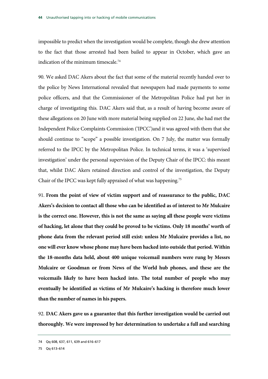impossible to predict when the investigation would be complete, though she drew attention to the fact that those arrested had been bailed to appear in October, which gave an indication of the minimum timescale.74

90. We asked DAC Akers about the fact that some of the material recently handed over to the police by News International revealed that newspapers had made payments to some police officers, and that the Commissioner of the Metropolitan Police had put her in charge of investigating this. DAC Akers said that, as a result of having become aware of these allegations on 20 June with more material being supplied on 22 June, she had met the Independent Police Complaints Commission ('IPCC')and it was agreed with them that she should continue to "scope" a possible investigation. On 7 July, the matter was formally referred to the IPCC by the Metropolitan Police. In technical terms, it was a 'supervised investigation' under the personal supervision of the Deputy Chair of the IPCC: this meant that, whilst DAC Akers retained direction and control of the investigation, the Deputy Chair of the IPCC was kept fully appraised of what was happening.<sup>75</sup>

91. **From the point of view of victim support and of reassurance to the public, DAC Akers's decision to contact all those who can be identified as of interest to Mr Mulcaire is the correct one. However, this is not the same as saying all these people were victims of hacking, let alone that they could be proved to be victims. Only 18 months' worth of phone data from the relevant period still exist: unless Mr Mulcaire provides a list, no one will ever know whose phone may have been hacked into outside that period. Within the 18-months data held, about 400 unique voicemail numbers were rung by Messrs Mulcaire or Goodman or from News of the World hub phones, and these are the voicemails likely to have been hacked into. The total number of people who may eventually be identified as victims of Mr Mulcaire's hacking is therefore much lower than the number of names in his papers.**

92. **DAC Akers gave us a guarantee that this further investigation would be carried out thoroughly. We were impressed by her determination to undertake a full and searching** 

75 Qq 613–614

<sup>74</sup> Qq 608, 637, 611, 639 and 616–617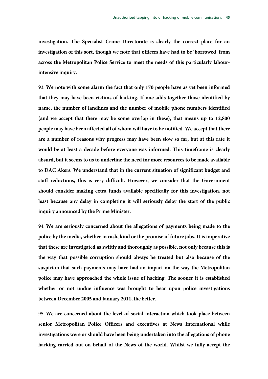**investigation. The Specialist Crime Directorate is clearly the correct place for an investigation of this sort, though we note that officers have had to be 'borrowed' from across the Metropolitan Police Service to meet the needs of this particularly labourintensive inquiry.** 

93. **We note with some alarm the fact that only 170 people have as yet been informed that they may have been victims of hacking. If one adds together those identified by name, the number of landlines and the number of mobile phone numbers identified (and we accept that there may be some overlap in these), that means up to 12,800 people may have been affected all of whom will have to be notified. We accept that there are a number of reasons why progress may have been slow so far, but at this rate it would be at least a decade before everyone was informed. This timeframe is clearly absurd, but it seems to us to underline the need for more resources to be made available to DAC Akers. We understand that in the current situation of significant budget and staff reductions, this is very difficult. However, we consider that the Government should consider making extra funds available specifically for this investigation, not least because any delay in completing it will seriously delay the start of the public inquiry announced by the Prime Minister.** 

94. **We are seriously concerned about the allegations of payments being made to the police by the media, whether in cash, kind or the promise of future jobs. It is imperative that these are investigated as swiftly and thoroughly as possible, not only because this is the way that possible corruption should always be treated but also because of the suspicion that such payments may have had an impact on the way the Metropolitan police may have approached the whole issue of hacking. The sooner it is established whether or not undue influence was brought to bear upon police investigations between December 2005 and January 2011, the better.**

95. **We are concerned about the level of social interaction which took place between senior Metropolitan Police Officers and executives at News International while investigations were or should have been being undertaken into the allegations of phone hacking carried out on behalf of the News of the world. Whilst we fully accept the**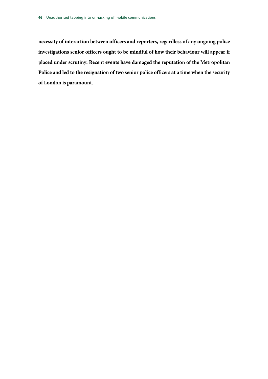**necessity of interaction between officers and reporters, regardless of any ongoing police investigations senior officers ought to be mindful of how their behaviour will appear if placed under scrutiny. Recent events have damaged the reputation of the Metropolitan Police and led to the resignation of two senior police officers at a time when the security of London is paramount.**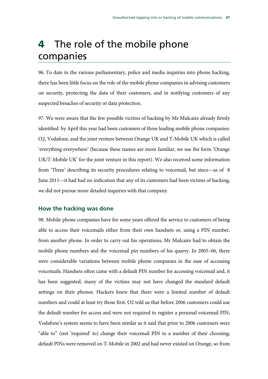## 4 The role of the mobile phone companies

96. To date in the various parliamentary, police and media inquiries into phone hacking, there has been little focus on the role of the mobile phone companies in advising customers on security, protecting the data of their customers, and in notifying customers of any suspected breaches of security or data protection.

97. We were aware that the few possible victims of hacking by Mr Mulcaire already firmly identified by April this year had been customers of three leading mobile phone companies: O2, Vodafone, and the joint venture between Orange UK and T-Mobile UK which is called 'everything everywhere' (because these names are more familiar, we use the form 'Orange UK/T-Mobile UK' for the joint venture in this report). We also received some information from 'Three' describing its security procedures relating to voicemail, but since—as of 8 June 2011—it had had no indication that any of its customers had been victims of hacking, we did not pursue more detailed inquiries with that company.

### **How the hacking was done**

98. Mobile phone companies have for some years offered the service to customers of being able to access their voicemails either from their own handsets or, using a PIN number, from another phone. In order to carry out his operations, Mr Mulcaire had to obtain the mobile phone numbers and the voicemail pin numbers of his quarry. In 2005–06, there were considerable variations between mobile phone companies in the ease of accessing voicemails. Handsets often came with a default PIN number for accessing voicemail and, it has been suggested, many of the victims may not have changed the standard default settings on their phones. Hackers knew that there were a limited number of default numbers and could at least try those first. O2 told us that before 2006 customers could use the default number for access and were not required to register a personal voicemail PIN; Vodafone's system seems to have been similar as it said that prior to 2006 customers were "able to" (not 'required' to) change their voicemail PIN to a number of their choosing; default PINs were removed on T-Mobile in 2002 and had never existed on Orange, so from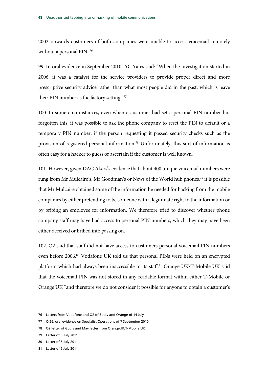2002 onwards customers of both companies were unable to access voicemail remotely without a personal PIN. 76

99. In oral evidence in September 2010, AC Yates said: "When the investigation started in 2006, it was a catalyst for the service providers to provide proper direct and more prescriptive security advice rather than what most people did in the past, which is leave their PIN number as the factory setting."77

100. In some circumstances, even when a customer had set a personal PIN number but forgotten this, it was possible to ask the phone company to reset the PIN to default or a temporary PIN number, if the person requesting it passed security checks such as the provision of registered personal information.78 Unfortunately, this sort of information is often easy for a hacker to guess or ascertain if the customer is well known.

101. However, given DAC Akers's evidence that about 400 unique voicemail numbers were rung from Mr Mulcaire's, Mr Goodman's or News of the World hub phones,<sup>79</sup> it is possible that Mr Mulcaire obtained some of the information he needed for hacking from the mobile companies by either pretending to be someone with a legitimate right to the information or by bribing an employee for information. We therefore tried to discover whether phone company staff may have had access to personal PIN numbers, which they may have been either deceived or bribed into passing on.

102. O2 said that staff did not have access to customers personal voicemail PIN numbers even before 2006.<sup>80</sup> Vodafone UK told us that personal PINs were held on an encrypted platform which had always been inaccessible to its staff.<sup>81</sup> Orange UK/T-Mobile UK said that the voicemail PIN was not stored in any readable format within either T-Mobile or Orange UK "and therefore we do not consider it possible for anyone to obtain a customer's

<sup>76</sup> Letters from Vodafone and O2 of 6 July and Orange of 14 July

<sup>77</sup> Q 26, oral evidence on Specialist Operations of 7 September 2010

<sup>78</sup> O2 letter of 6 July and May letter from OrangeUK/T-Mobile UK

<sup>79</sup> Letter of 6 July 2011

<sup>80</sup> Letter of 6 July 2011

<sup>81</sup> Letter of 6 July 2011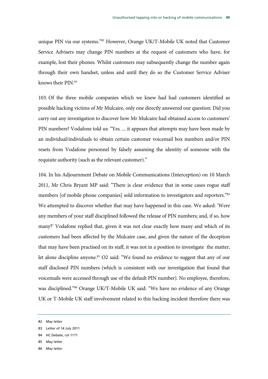unique PIN via our systems."82 However, Orange UK/T-Mobile UK noted that Customer Service Advisers may change PIN numbers at the request of customers who have, for example, lost their phones. Whilst customers may subsequently change the number again through their own handset, unless and until they do so the Customer Service Adviser knows their PIN.83

103. Of the three mobile companies which we knew had had customers identified as possible hacking victims of Mr Mulcaire, only one directly answered our question: Did you carry out any investigation to discover how Mr Mulcaire had obtained access to customers' PIN numbers? Vodafone told us: "Yes. ... it appears that attempts may have been made by an individual/individuals to obtain certain customer voicemail box numbers and/or PIN resets from Vodafone personnel by falsely assuming the identity of someone with the requisite authority (such as the relevant customer)."

104. In his Adjournment Debate on Mobile Communications (Interception) on 10 March 2011, Mr Chris Bryant MP said: "There is clear evidence that in some cases rogue staff members [of mobile phone companies] sold information to investigators and reporters."<sup>84</sup> We attempted to discover whether that may have happened in this case. We asked: 'Were any members of your staff disciplined followed the release of PIN numbers; and, if so, how many?' Vodafone replied that, given it was not clear exactly how many and which of its customers had been affected by the Mulcaire case, and given the nature of the deception that may have been practised on its staff, it was not in a position to investigate the matter, let alone discipline anyone.<sup>85</sup> O2 said: "We found no evidence to suggest that any of our staff disclosed PIN numbers (which is consistent with our investigation that found that voicemails were accessed through use of the default PIN number). No employee, therefore, was disciplined."86 Orange UK/T-Mobile UK said: "We have no evidence of any Orange UK or T-Mobile UK staff involvement related to this hacking incident therefore there was

- 84 HC Debate, col 1171
- 85 May letter
- 86 May letter

<sup>82</sup> May letter

<sup>83</sup> Letter of 14 July 2011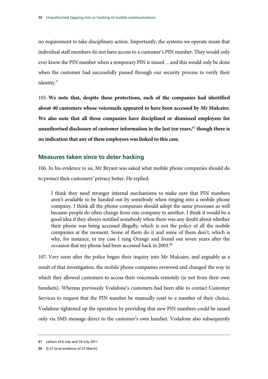no requirement to take disciplinary action. Importantly, the systems we operate mean that individual staff members do not have access to a customer's PIN number. They would only ever know the PIN number when a temporary PIN is issued ... and this would only be done when the customer had successfully passed through our security process to verify their identity."

105. **We note that, despite these protections, each of the companies had identified about 40 customers whose voicemails appeared to have been accessed by Mr Mulcaire. We also note that all three companies have disciplined or dismissed employees for**  unauthorised disclosure of customer information in the last ten years,<sup>87</sup> though there is **no indication that any of these employees was linked to this case.** 

### **Measures taken since to deter hacking**

106. In his evidence to us, Mr Bryant was asked what mobile phone companies should do to protect their customers' privacy better. He replied:

I think they need stronger internal mechanisms to make sure that PIN numbers aren't available to be handed out by somebody when ringing into a mobile phone company. I think all the phone companies should adopt the same processes as well because people do often change from one company to another. I think it would be a good idea if they always notified somebody when there was any doubt about whether their phone was being accessed illegally, which is not the policy of all the mobile companies at the moment. Some of them do it and some of them don't, which is why, for instance, in my case I rang Orange and found out seven years after the occasion that my phone had been accessed back in 2003.88

107. Very soon after the police began their inquiry into Mr Mulcaire, and arguably as a result of that investigation, the mobile phone companies reviewed and changed the way in which they allowed customers to access their voicemails remotely (ie not from their own handsets). Whereas previously Vodafone's customers had been able to contact Customer Services to request that the PIN number be manually reset to a number of their choice, Vodafone tightened up the operation by providing that new PIN numbers could be issued only via SMS message direct to the customer's own handset. Vodafone also subsequently

<sup>87</sup> Letters of 6 July and 14 July 2011

<sup>88</sup> Q 27 (oral evidence of 27 March)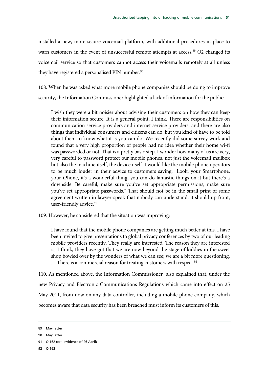installed a new, more secure voicemail platform, with additional procedures in place to warn customers in the event of unsuccessful remote attempts at access.<sup>89</sup> O2 changed its voicemail service so that customers cannot access their voicemails remotely at all unless they have registered a personalised PIN number.<sup>90</sup>

108. When he was asked what more mobile phone companies should be doing to improve security, the Information Commissioner highlighted a lack of information for the public:

I wish they were a bit noisier about advising their customers on how they can keep their information secure. It is a general point, I think. There are responsibilities on communication service providers and internet service providers, and there are also things that individual consumers and citizens can do, but you kind of have to be told about them to know what it is you can do. We recently did some survey work and found that a very high proportion of people had no idea whether their home wi-fi was passworded or not. That is a pretty basic step. I wonder how many of us are very, very careful to password protect our mobile phones, not just the voicemail mailbox but also the machine itself, the device itself. I would like the mobile phone operators to be much louder in their advice to customers saying, "Look, your Smartphone, your iPhone, it's a wonderful thing, you can do fantastic things on it but there's a downside. Be careful, make sure you've set appropriate permissions, make sure you've set appropriate passwords." That should not be in the small print of some agreement written in lawyer-speak that nobody can understand; it should up front, user-friendly advice.<sup>91</sup>

109. However, he considered that the situation was improving:

I have found that the mobile phone companies are getting much better at this. I have been invited to give presentations to global privacy conferences by two of our leading mobile providers recently. They really are interested. The reason they are interested is, I think, they have got that we are now beyond the stage of kiddies in the sweet shop bowled over by the wonders of what we can see; we are a bit more questioning. .... There is a commercial reason for treating customers with respect.<sup>92</sup>

110. As mentioned above, the Information Commissioner also explained that, under the new Privacy and Electronic Communications Regulations which came into effect on 25 May 2011, from now on any data controller, including a mobile phone company, which becomes aware that data security has been breached must inform its customers of this.

92 Q 162

<sup>89</sup> May letter

<sup>90</sup> May letter

<sup>91</sup> Q 162 (oral evidence of 26 April)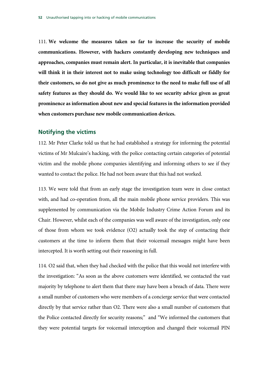111. **We welcome the measures taken so far to increase the security of mobile communications. However, with hackers constantly developing new techniques and approaches, companies must remain alert. In particular, it is inevitable that companies will think it in their interest not to make using technology too difficult or fiddly for their customers, so do not give as much prominence to the need to make full use of all safety features as they should do. We would like to see security advice given as great prominence as information about new and special features in the information provided when customers purchase new mobile communication devices.**

### **Notifying the victims**

112. Mr Peter Clarke told us that he had established a strategy for informing the potential victims of Mr Mulcaire's hacking, with the police contacting certain categories of potential victim and the mobile phone companies identifying and informing others to see if they wanted to contact the police. He had not been aware that this had not worked.

113. We were told that from an early stage the investigation team were in close contact with, and had co-operation from, all the main mobile phone service providers. This was supplemented by communication via the Mobile Industry Crime Action Forum and its Chair. However, whilst each of the companies was well aware of the investigation, only one of those from whom we took evidence (O2) actually took the step of contacting their customers at the time to inform them that their voicemail messages might have been intercepted. It is worth setting out their reasoning in full.

114. O2 said that, when they had checked with the police that this would not interfere with the investigation: "As soon as the above customers were identified, we contacted the vast majority by telephone to alert them that there may have been a breach of data. There were a small number of customers who were members of a concierge service that were contacted directly by that service rather than O2. There were also a small number of customers that the Police contacted directly for security reasons;" and "We informed the customers that they were potential targets for voicemail interception and changed their voicemail PIN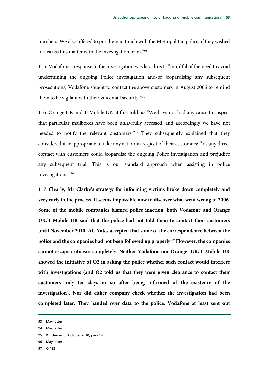numbers. We also offered to put them in touch with the Metropolitan police, if they wished to discuss this matter with the investigation team."93

115. Vodafone's response to the investigation was less direct: "mindful of the need to avoid undermining the ongoing Police investigation and/or jeopardising any subsequent prosecutions, Vodafone sought to contact the above customers in August 2006 to remind them to be vigilant with their voicemail security."94

116. Orange UK and T-Mobile UK at first told us: "We have not had any cause to suspect that particular mailboxes have been unlawfully accessed, and accordingly we have not needed to notify the relevant customers."95 They subsequently explained that they considered it inappropriate to take any action in respect of their customers: " as any direct contact with customers could jeopardise the ongoing Police investigation and prejudice any subsequent trial. This is our standard approach when assisting in police investigations."96

117. **Clearly, Mr Clarke's strategy for informing victims broke down completely and very early in the process. It seems impossible now to discover what went wrong in 2006. Some of the mobile companies blamed police inaction: both Vodafone and Orange UK/T-Mobile UK said that the police had not told them to contact their customers until November 2010. AC Yates accepted that some of the correspondence between the police and the companies had not been followed up properly.97 However, the companies cannot escape criticism completely. Neither Vodafone nor Orange UK/T-Mobile UK showed the initiative of O2 in asking the police whether such contact would interfere with investigations (and O2 told us that they were given clearance to contact their customers only ten days or so after being informed of the existence of the investigation). Nor did either company check whether the investigation had been completed later. They handed over data to the police, Vodafone at least sent out** 

- 95 Written ev of October 2010, para 14
- 96 May letter
- 97 Q 433

<sup>93</sup> May letter

<sup>94</sup> May letter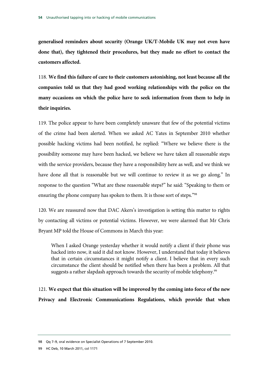**generalised reminders about security (Orange UK/T-Mobile UK may not even have done that), they tightened their procedures, but they made no effort to contact the customers affected.** 

118. **We find this failure of care to their customers astonishing, not least because all the companies told us that they had good working relationships with the police on the many occasions on which the police have to seek information from them to help in their inquiries.** 

119. The police appear to have been completely unaware that few of the potential victims of the crime had been alerted. When we asked AC Yates in September 2010 whether possible hacking victims had been notified, he replied: "Where we believe there is the possibility someone may have been hacked, we believe we have taken all reasonable steps with the service providers, because they have a responsibility here as well, and we think we have done all that is reasonable but we will continue to review it as we go along." In response to the question "What are these reasonable steps?" he said: "Speaking to them or ensuring the phone company has spoken to them. It is those sort of steps."<sup>98</sup>

120. We are reassured now that DAC Akers's investigation is setting this matter to rights by contacting all victims or potential victims. However, we were alarmed that Mr Chris Bryant MP told the House of Commons in March this year:

When I asked Orange yesterday whether it would notify a client if their phone was hacked into now, it said it did not know. However, I understand that today it believes that in certain circumstances it might notify a client. I believe that in every such circumstance the client should be notified when there has been a problem. All that suggests a rather slapdash approach towards the security of mobile telephony.<sup>99</sup>

121. **We expect that this situation will be improved by the coming into force of the new Privacy and Electronic Communications Regulations, which provide that when** 

<sup>98</sup> Qq 7–9, oral evidence on Specialist Operations of 7 September 2010.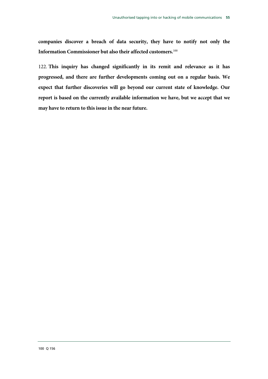**companies discover a breach of data security, they have to notify not only the Information Commissioner but also their affected customers.**100

122. **This inquiry has changed significantly in its remit and relevance as it has progressed, and there are further developments coming out on a regular basis. We expect that further discoveries will go beyond our current state of knowledge. Our report is based on the currently available information we have, but we accept that we may have to return to this issue in the near future.**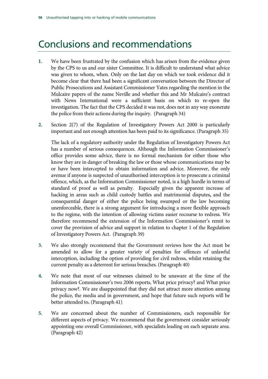### Conclusions and recommendations

- **1.** We have been frustrated by the confusion which has arisen from the evidence given by the CPS to us and our sister Committee. It is difficult to understand what advice was given to whom, when. Only on the last day on which we took evidence did it become clear that there had been a significant conversation between the Director of Public Prosecutions and Assistant Commissioner Yates regarding the mention in the Mulcaire papers of the name Neville and whether this and Mr Mulcaire's contract with News International were a sufficient basis on which to re-open the investigation. The fact that the CPS decided it was not, does not in any way exonerate the police from their actions during the inquiry. (Paragraph 34)
- **2.** Section 2(7) of the Regulation of Investigatory Powers Act 2000 is particularly important and not enough attention has been paid to its significance. (Paragraph 35)

The lack of a regulatory authority under the Regulation of Investigatory Powers Act has a number of serious consequences. Although the Information Commissioner's office provides some advice, there is no formal mechanism for either those who know they are in danger of breaking the law or those whose communications may be or have been intercepted to obtain information and advice. Moreover, the only avenue if anyone is suspected of unauthorised interception is to prosecute a criminal offence, which, as the Information Commissioner noted, is a high hurdle in terms of standard of proof as well as penalty. Especially given the apparent increase of hacking in areas such as child custody battles and matrimonial disputes**,** and the consequential danger of either the police being swamped or the law becoming unenforceable, there is a strong argument for introducing a more flexible approach to the regime, with the intention of allowing victims easier recourse to redress. We therefore recommend the extension of the Information Commissioner's remit to cover the provision of advice and support in relation to chapter 1 of the Regulation of Investigatory Powers Act. (Paragraph 39)

- **3.** We also strongly recommend that the Government reviews how the Act must be amended to allow for a greater variety of penalties for offences of unlawful interception, including the option of providing for civil redress, whilst retaining the current penalty as a deterrent for serious breaches. (Paragraph 40)
- **4.** We note that most of our witnesses claimed to be unaware at the time of the Information Commissioner's two 2006 reports, What price privacy? and What price privacy now?. We are disappointed that they did not attract more attention among the police, the media and in government, and hope that future such reports will be better attended to**.** (Paragraph 41)
- **5.** We are concerned about the number of Commissioners, each responsible for different aspects of privacy. We recommend that the government consider seriously appointing one overall Commissioner, with specialists leading on each separate area. (Paragraph 42)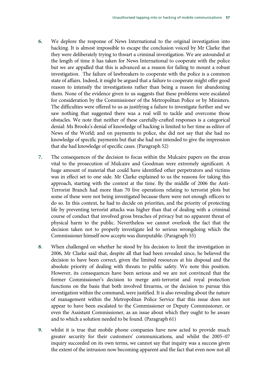- **6.** We deplore the response of News International to the original investigation into hacking. It is almost impossible to escape the conclusion voiced by Mr Clarke that they were deliberately trying to thwart a criminal investigation. We are astounded at the length of time it has taken for News International to cooperate with the police but we are appalled that this is advanced as a reason for failing to mount a robust investigation. The failure of lawbreakers to cooperate with the police is a common state of affairs. Indeed, it might be argued that a failure to cooperate might offer good reason to intensify the investigations rather than being a reason for abandoning them. None of the evidence given to us suggests that these problems were escalated for consideration by the Commissioner of the Metropolitan Police or by Ministers. The difficulties were offered to us as justifying a failure to investigate further and we saw nothing that suggested there was a real will to tackle and overcome those obstacles. We note that neither of these carefully-crafted responses is a categorical denial: Ms Brooks's denial of knowledge of hacking is limited to her time as editor of News of the World; and on payments to police, she did not say that she had no knowledge of specific payments but that she had not intended to give the impression that she had knowledge of specific cases. (Paragraph 52)
- **7.** The consequences of the decision to focus within the Mulcaire papers on the areas vital to the prosecution of Mulcaire and Goodman were extremely significant. A huge amount of material that could have identified other perpetrators and victims was in effect set to one side. Mr Clarke explained to us the reasons for taking this approach, starting with the context at the time. By the middle of 2006 the Anti-Terrorist Branch had more than 70 live operations relating to terrorist plots but some of these were not being investigated because there were not enough officers to do so. In this context, he had to decide on priorities, and the priority of protecting life by preventing terrorist attacks was higher than that of dealing with a criminal course of conduct that involved gross breaches of privacy but no apparent threat of physical harm to the public. Nevertheless we cannot overlook the fact that the decision taken not to properly investigate led to serious wrongdoing which the Commissioner himself now accepts was disreputable. (Paragraph 55)
- **8.** When challenged on whether he stood by his decision to limit the investigation in 2006, Mr Clarke said that, despite all that had been revealed since, he believed the decision to have been correct, given the limited resources at his disposal and the absolute priority of dealing with threats to public safety. We note this position. However, its consequences have been serious and we are not convinced that the former Commissioner's decision to merge anti-terrorist and royal protection functions on the basis that both involved firearms, or the decision to pursue this investigation within the command, were justified. It is also revealing about the nature of management within the Metropolitan Police Service that this issue does not appear to have been escalated to the Commissioner or Deputy Commissioner, or even the Assistant Commissioner, as an issue about which they ought to be aware and to which a solution needed to be found. (Paragraph 61)
- **9.** whilst it is true that mobile phone companies have now acted to provide much greater security for their customers' communications, and whilst the 2005–07 inquiry succeeded on its own terms, we cannot say that inquiry was a success given the extent of the intrusion now becoming apparent and the fact that even now not all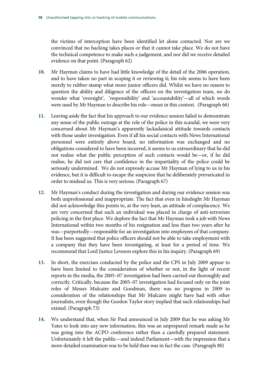the victims of interception have been identified let alone contacted. Nor are we convinced that no hacking takes places or that it cannot take place. We do not have the technical competence to make such a judgement, and nor did we receive detailed evidence on that point. (Paragraph 62)

- **10.** Mr Hayman claims to have had little knowledge of the detail of the 2006 operation, and to have taken no part in scoping it or reviewing it; his role seems to have been merely to rubber-stamp what more junior officers did. Whilst we have no reason to question the ability and diligence of the officers on the investigation team, we do wonder what 'oversight', 'responsibility' and 'accountability'—all of which words were used by Mr Hayman to describe his role—mean in this context. (Paragraph 66)
- **11.** Leaving aside the fact that his approach to our evidence session failed to demonstrate any sense of the public outrage at the role of the police in this scandal, we were very concerned about Mr Hayman's apparently lackadaisical attitude towards contacts with those under investigation. Even if all his social contacts with News International personnel were entirely above board, no information was exchanged and no obligations considered to have been incurred, it seems to us extraordinary that he did not realise what the public perception of such contacts would be—or, if he did realise, he did not care that confidence in the impartiality of the police could be seriously undermined. We do not expressly accuse Mr Hayman of lying to us in his evidence, but it is difficult to escape the suspicion that he deliberately prevaricated in order to mislead us. This is very serious. (Paragraph 67)
- **12.** Mr Hayman's conduct during the investigation and during our evidence session was both unprofessional and inappropriate. The fact that even in hindsight Mr Hayman did not acknowledge this points to, at the very least, an attitude of complacency. We are very concerned that such an individual was placed in charge of anti-terrorism policing in the first place. We deplore the fact that Mr Hayman took a job with News International within two months of his resignation and less than two years after he was—purportedly—responsible for an investigation into employees of that company. It has been suggested that police officers should not be able to take employment with a company that they have been investigating, at least for a period of time. We recommend that Lord Justice Leveson explore this in his inquiry. (Paragraph 69)
- **13.** In short, the exercises conducted by the police and the CPS in July 2009 appear to have been limited to the consideration of whether or not, in the light of recent reports in the media, the 2005–07 investigation had been carried out thoroughly and correctly. Critically, because the 2005–07 investigation had focused only on the joint roles of Messrs Mulcaire and Goodman, there was no progress in 2009 to consideration of the relationships that Mr Mulcaire might have had with other journalists, even though the Gordon Taylor story implied that such relationships had existed. (Paragraph 73)
- **14.** We understand that, when Sir Paul announced in July 2009 that he was asking Mr Yates to look into any new information, this was an unprepared remark made as he was going into the ACPO conference rather than a carefully prepared statement. Unfortunately it left the public—and indeed Parliament—with the impression that a more detailed examination was to be held than was in fact the case. (Paragraph 80)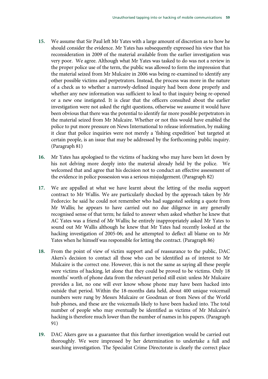- **15.** We assume that Sir Paul left Mr Yates with a large amount of discretion as to how he should consider the evidence. Mr Yates has subsequently expressed his view that his reconsideration in 2009 of the material available from the earlier investigation was very poor. We agree. Although what Mr Yates was tasked to do was not a review in the proper police use of the term, the public was allowed to form the impression that the material seized from Mr Mulcaire in 2006 was being re-examined to identify any other possible victims and perpetrators. Instead, the process was more in the nature of a check as to whether a narrowly-defined inquiry had been done properly and whether any new information was sufficient to lead to that inquiry being re-opened or a new one instigated. It is clear that the officers consulted about the earlier investigation were not asked the right questions, otherwise we assume it would have been obvious that there was the potential to identify far more possible perpetrators in the material seized from Mr Mulcaire. Whether or not this would have enabled the police to put more pressure on News International to release information, by making it clear that police inquiries were not merely a 'fishing expedition' but targeted at certain people, is an issue that may be addressed by the forthcoming public inquiry. (Paragraph 81)
- **16.** Mr Yates has apologised to the victims of hacking who may have been let down by his not delving more deeply into the material already held by the police. We welcomed that and agree that his decision not to conduct an effective assessment of the evidence in police possession was a serious misjudgement. (Paragraph 82)
- **17.** We are appalled at what we have learnt about the letting of the media support contract to Mr Wallis. We are particularly shocked by the approach taken by Mr Fedorcio: he said he could not remember who had suggested seeking a quote from Mr Wallis; he appears to have carried out no due diligence in any generally recognised sense of that term; he failed to answer when asked whether he knew that AC Yates was a friend of Mr Wallis; he entirely inappropriately asked Mr Yates to sound out Mr Wallis although he knew that Mr Yates had recently looked at the hacking investigation of 2005-06; and he attempted to deflect all blame on to Mr Yates when he himself was responsible for letting the contract. (Paragraph 86)
- **18.** From the point of view of victim support and of reassurance to the public, DAC Akers's decision to contact all those who can be identified as of interest to Mr Mulcaire is the correct one. However, this is not the same as saying all these people were victims of hacking, let alone that they could be proved to be victims. Only 18 months' worth of phone data from the relevant period still exist: unless Mr Mulcaire provides a list, no one will ever know whose phone may have been hacked into outside that period. Within the 18-months data held, about 400 unique voicemail numbers were rung by Messrs Mulcaire or Goodman or from News of the World hub phones, and these are the voicemails likely to have been hacked into. The total number of people who may eventually be identified as victims of Mr Mulcaire's hacking is therefore much lower than the number of names in his papers. (Paragraph 91)
- **19.** DAC Akers gave us a guarantee that this further investigation would be carried out thoroughly. We were impressed by her determination to undertake a full and searching investigation. The Specialist Crime Directorate is clearly the correct place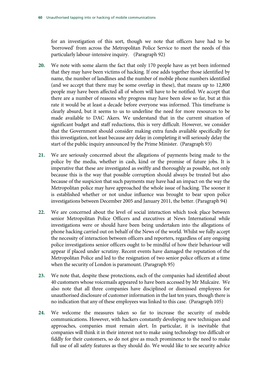for an investigation of this sort, though we note that officers have had to be 'borrowed' from across the Metropolitan Police Service to meet the needs of this particularly labour-intensive inquiry. (Paragraph 92)

- **20.** We note with some alarm the fact that only 170 people have as yet been informed that they may have been victims of hacking. If one adds together those identified by name, the number of landlines and the number of mobile phone numbers identified (and we accept that there may be some overlap in these), that means up to 12,800 people may have been affected all of whom will have to be notified. We accept that there are a number of reasons why progress may have been slow so far, but at this rate it would be at least a decade before everyone was informed. This timeframe is clearly absurd, but it seems to us to underline the need for more resources to be made available to DAC Akers. We understand that in the current situation of significant budget and staff reductions, this is very difficult. However, we consider that the Government should consider making extra funds available specifically for this investigation, not least because any delay in completing it will seriously delay the start of the public inquiry announced by the Prime Minister. (Paragraph 93)
- **21.** We are seriously concerned about the allegations of payments being made to the police by the media, whether in cash, kind or the promise of future jobs. It is imperative that these are investigated as swiftly and thoroughly as possible, not only because this is the way that possible corruption should always be treated but also because of the suspicion that such payments may have had an impact on the way the Metropolitan police may have approached the whole issue of hacking. The sooner it is established whether or not undue influence was brought to bear upon police investigations between December 2005 and January 2011, the better. (Paragraph 94)
- **22.** We are concerned about the level of social interaction which took place between senior Metropolitan Police Officers and executives at News International while investigations were or should have been being undertaken into the allegations of phone hacking carried out on behalf of the News of the world. Whilst we fully accept the necessity of interaction between officers and reporters, regardless of any ongoing police investigations senior officers ought to be mindful of how their behaviour will appear if placed under scrutiny. Recent events have damaged the reputation of the Metropolitan Police and led to the resignation of two senior police officers at a time when the security of London is paramount. (Paragraph 95)
- **23.** We note that, despite these protections, each of the companies had identified about 40 customers whose voicemails appeared to have been accessed by Mr Mulcaire. We also note that all three companies have disciplined or dismissed employees for unauthorised disclosure of customer information in the last ten years, though there is no indication that any of these employees was linked to this case. (Paragraph 105)
- **24.** We welcome the measures taken so far to increase the security of mobile communications. However, with hackers constantly developing new techniques and approaches, companies must remain alert. In particular, it is inevitable that companies will think it in their interest not to make using technology too difficult or fiddly for their customers, so do not give as much prominence to the need to make full use of all safety features as they should do. We would like to see security advice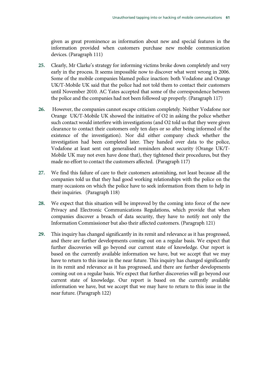given as great prominence as information about new and special features in the information provided when customers purchase new mobile communication devices. (Paragraph 111)

- **25.** Clearly, Mr Clarke's strategy for informing victims broke down completely and very early in the process. It seems impossible now to discover what went wrong in 2006. Some of the mobile companies blamed police inaction: both Vodafone and Orange UK/T-Mobile UK said that the police had not told them to contact their customers until November 2010. AC Yates accepted that some of the correspondence between the police and the companies had not been followed up properly. (Paragraph 117)
- **26.** However, the companies cannot escape criticism completely. Neither Vodafone nor Orange UK/T-Mobile UK showed the initiative of O2 in asking the police whether such contact would interfere with investigations (and O2 told us that they were given clearance to contact their customers only ten days or so after being informed of the existence of the investigation). Nor did either company check whether the investigation had been completed later. They handed over data to the police, Vodafone at least sent out generalised reminders about security (Orange UK/T-Mobile UK may not even have done that), they tightened their procedures, but they made no effort to contact the customers affected. (Paragraph 117)
- **27.** We find this failure of care to their customers astonishing, not least because all the companies told us that they had good working relationships with the police on the many occasions on which the police have to seek information from them to help in their inquiries. (Paragraph 118)
- **28.** We expect that this situation will be improved by the coming into force of the new Privacy and Electronic Communications Regulations, which provide that when companies discover a breach of data security, they have to notify not only the Information Commissioner but also their affected customers. (Paragraph 121)
- **29.** This inquiry has changed significantly in its remit and relevance as it has progressed, and there are further developments coming out on a regular basis. We expect that further discoveries will go beyond our current state of knowledge. Our report is based on the currently available information we have, but we accept that we may have to return to this issue in the near future. This inquiry has changed significantly in its remit and relevance as it has progressed, and there are further developments coming out on a regular basis. We expect that further discoveries will go beyond our current state of knowledge. Our report is based on the currently available information we have, but we accept that we may have to return to this issue in the near future. (Paragraph 122)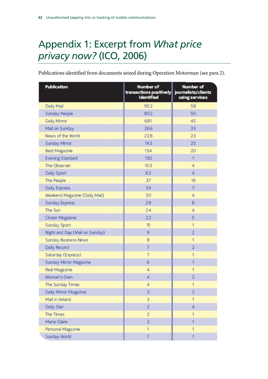# Appendix 1: Excerpt from *What price privacy now?* (ICO, 2006)

Publications identified from documents seized during Operation Motorman (see para 2).

| <b>Publication</b>             | <b>Number of</b><br>transactions positively journalists/clients<br><b>identified</b> | <b>Number of</b><br>using services |
|--------------------------------|--------------------------------------------------------------------------------------|------------------------------------|
| Daily Mail                     | 952                                                                                  | 58                                 |
| Sunday People                  | 802                                                                                  | 50                                 |
| Daily Mirror                   | 681                                                                                  | 45                                 |
| Mail on Sunday                 | 266                                                                                  | 33                                 |
| News of the World              | 228                                                                                  | 23                                 |
| Sunday Mirror                  | 143                                                                                  | 25                                 |
| <b>Best Magazine</b>           | 134                                                                                  | 20                                 |
| <b>Evening Standard</b>        | 130                                                                                  | 1                                  |
| The Observer                   | 103                                                                                  | $\overline{4}$                     |
| Daily Sport                    | 62                                                                                   | 4                                  |
| The People                     | 37                                                                                   | 19                                 |
| Daily Express                  | 36                                                                                   | $\overline{7}$                     |
| Weekend Magazine (Daily Mail)  | 30                                                                                   | $\overline{4}$                     |
| Sunday Express                 | 29                                                                                   | 8                                  |
| The Sun                        | 24                                                                                   | 4                                  |
| Closer Magazine                | 22                                                                                   | 5                                  |
| Sunday Sport                   | 15                                                                                   | 1                                  |
| Night and Day (Mail on Sunday) | 9                                                                                    | $\overline{2}$                     |
| <b>Sunday Business News</b>    | 8                                                                                    | 1                                  |
| Daily Record                   | $\overline{7}$                                                                       | $\overline{2}$                     |
| Saturday (Express)             | $\overline{7}$                                                                       | 1                                  |
| Sunday Mirror Magazine         | 6                                                                                    | 1                                  |
| Real Magazine                  | $\overline{4}$                                                                       | 1                                  |
| Woman's Own                    | 4                                                                                    | $\overline{2}$                     |
| The Sunday Times               | 4                                                                                    | 1                                  |
| Daily Mirror Magazine          | 3                                                                                    | $\overline{2}$                     |
| Mail in Ireland                | 3                                                                                    | 1                                  |
| Daily Star                     | $\overline{a}$                                                                       | 4                                  |
| The Times                      | $\overline{a}$                                                                       | 1                                  |
| Marie Claire                   | $\overline{2}$                                                                       | 1                                  |
| Personal Magazine              | 1                                                                                    | 1                                  |
| Sunday World                   | 1                                                                                    | 1                                  |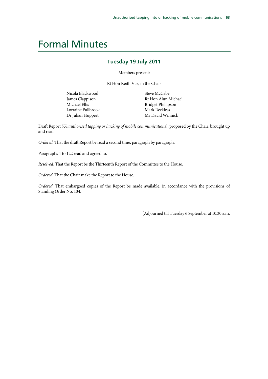### Formal Minutes

### **Tuesday 19 July 2011**

Members present:

Rt Hon Keith Vaz, in the Chair

Nicola Blackwood James Clappison Michael Ellis Lorraine Fullbrook Dr Julian Huppert

Steve McCabe Rt Hon Alun Michael Bridget Phillipson Mark Reckless Mr David Winnick

Draft Report (*Unauthorised tapping or hacking of mobile communications*), proposed by the Chair, brought up and read.

*Ordered*, That the draft Report be read a second time, paragraph by paragraph.

Paragraphs 1 to 122 read and agreed to.

*Resolved*, That the Report be the Thirteenth Report of the Committee to the House.

*Ordered*, That the Chair make the Report to the House.

*Ordered*, That embargoed copies of the Report be made available, in accordance with the provisions of Standing Order No. 134.

[Adjourned till Tuesday 6 September at 10.30 a.m.